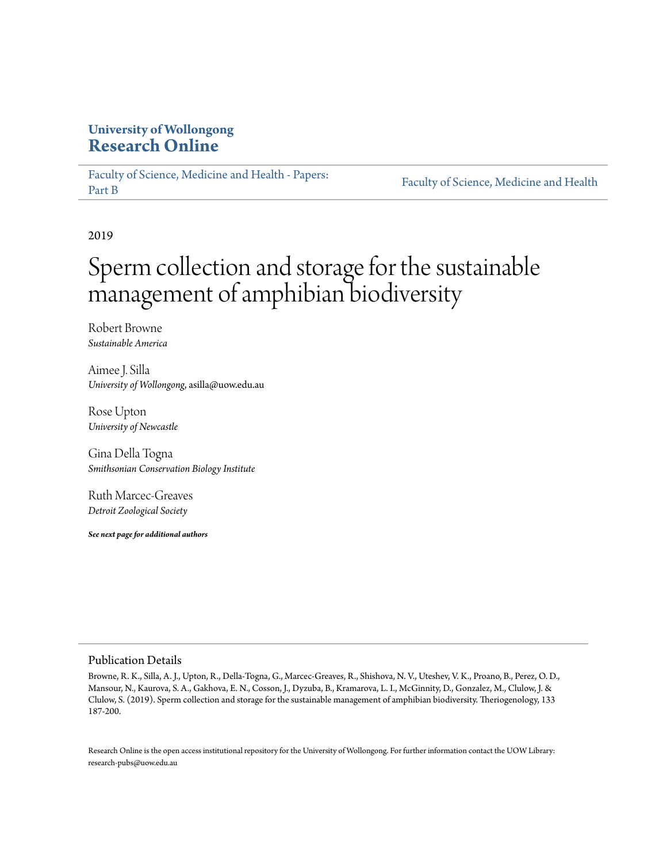### **University of Wollongong [Research Online](https://ro.uow.edu.au)**

[Faculty of Science, Medicine and Health - Papers:](https://ro.uow.edu.au/smhpapers1) [Part B](https://ro.uow.edu.au/smhpapers1) [Faculty of Science, Medicine and Health](https://ro.uow.edu.au/smh)

2019

# Sperm collection and storage for the sustainable management of amphibian biodiversity

Robert Browne *Sustainable America*

Aimee J. Silla *University of Wollongong*, asilla@uow.edu.au

Rose Upton *University of Newcastle*

Gina Della Togna *Smithsonian Conservation Biology Institute*

Ruth Marcec-Greaves *Detroit Zoological Society*

*See next page for additional authors*

#### Publication Details

Browne, R. K., Silla, A. J., Upton, R., Della-Togna, G., Marcec-Greaves, R., Shishova, N. V., Uteshev, V. K., Proano, B., Perez, O. D., Mansour, N., Kaurova, S. A., Gakhova, E. N., Cosson, J., Dyzuba, B., Kramarova, L. I., McGinnity, D., Gonzalez, M., Clulow, J. & Clulow, S. (2019). Sperm collection and storage for the sustainable management of amphibian biodiversity. Theriogenology, 133 187-200.

Research Online is the open access institutional repository for the University of Wollongong. For further information contact the UOW Library: research-pubs@uow.edu.au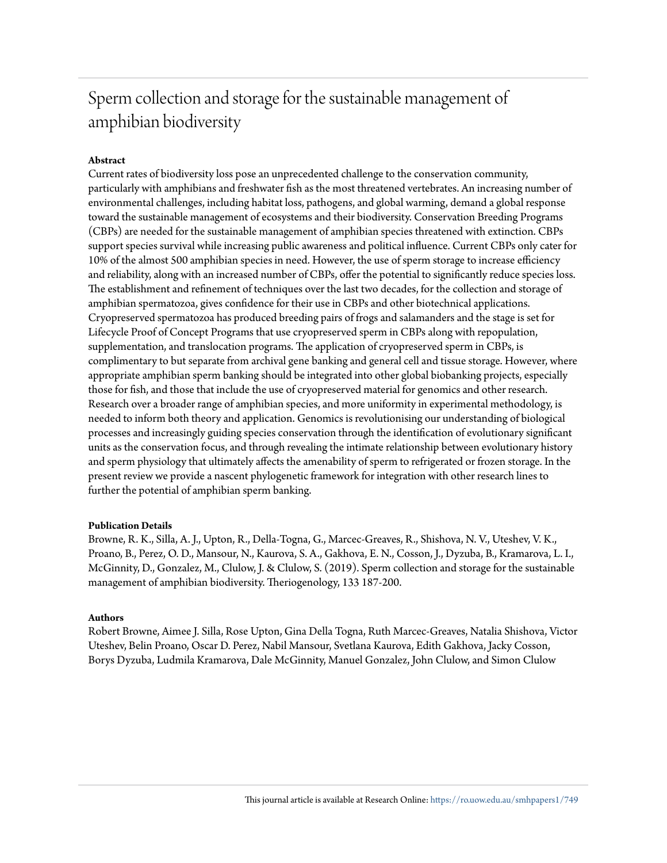## Sperm collection and storage for the sustainable management of amphibian biodiversity

#### **Abstract**

Current rates of biodiversity loss pose an unprecedented challenge to the conservation community, particularly with amphibians and freshwater fish as the most threatened vertebrates. An increasing number of environmental challenges, including habitat loss, pathogens, and global warming, demand a global response toward the sustainable management of ecosystems and their biodiversity. Conservation Breeding Programs (CBPs) are needed for the sustainable management of amphibian species threatened with extinction. CBPs support species survival while increasing public awareness and political influence. Current CBPs only cater for 10% of the almost 500 amphibian species in need. However, the use of sperm storage to increase efficiency and reliability, along with an increased number of CBPs, offer the potential to significantly reduce species loss. The establishment and refinement of techniques over the last two decades, for the collection and storage of amphibian spermatozoa, gives confidence for their use in CBPs and other biotechnical applications. Cryopreserved spermatozoa has produced breeding pairs of frogs and salamanders and the stage is set for Lifecycle Proof of Concept Programs that use cryopreserved sperm in CBPs along with repopulation, supplementation, and translocation programs. The application of cryopreserved sperm in CBPs, is complimentary to but separate from archival gene banking and general cell and tissue storage. However, where appropriate amphibian sperm banking should be integrated into other global biobanking projects, especially those for fish, and those that include the use of cryopreserved material for genomics and other research. Research over a broader range of amphibian species, and more uniformity in experimental methodology, is needed to inform both theory and application. Genomics is revolutionising our understanding of biological processes and increasingly guiding species conservation through the identification of evolutionary significant units as the conservation focus, and through revealing the intimate relationship between evolutionary history and sperm physiology that ultimately affects the amenability of sperm to refrigerated or frozen storage. In the present review we provide a nascent phylogenetic framework for integration with other research lines to further the potential of amphibian sperm banking.

#### **Publication Details**

Browne, R. K., Silla, A. J., Upton, R., Della-Togna, G., Marcec-Greaves, R., Shishova, N. V., Uteshev, V. K., Proano, B., Perez, O. D., Mansour, N., Kaurova, S. A., Gakhova, E. N., Cosson, J., Dyzuba, B., Kramarova, L. I., McGinnity, D., Gonzalez, M., Clulow, J. & Clulow, S. (2019). Sperm collection and storage for the sustainable management of amphibian biodiversity. Theriogenology, 133 187-200.

#### **Authors**

Robert Browne, Aimee J. Silla, Rose Upton, Gina Della Togna, Ruth Marcec-Greaves, Natalia Shishova, Victor Uteshev, Belin Proano, Oscar D. Perez, Nabil Mansour, Svetlana Kaurova, Edith Gakhova, Jacky Cosson, Borys Dyzuba, Ludmila Kramarova, Dale McGinnity, Manuel Gonzalez, John Clulow, and Simon Clulow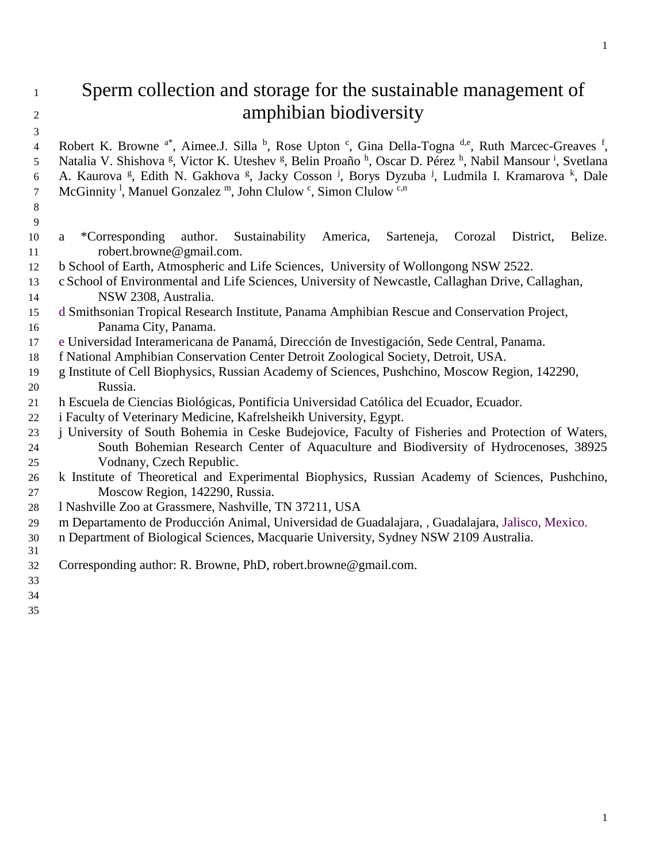### Sperm collection and storage for the sustainable management of <sup>2</sup> amphibian biodiversity

4 Robert K. Browne <sup>a\*</sup>, Aimee.J. Silla <sup>b</sup>, Rose Upton <sup>c</sup>, Gina Della-Togna <sup>d,e</sup>, Ruth Marcec-Greaves <sup>f</sup>, 5 Natalia V. Shishova <sup>g</sup>, Victor K. Uteshev <sup>g</sup>, Belin Proaño <sup>h</sup>, Oscar D. Pérez <sup>h</sup>, Nabil Mansour <sup>i</sup>, Svetlana 6 A. Kaurova <sup>g</sup>, Edith N. Gakhova <sup>g</sup>, Jacky Cosson <sup>j</sup>, Borys Dyzuba <sup>j</sup>, Ludmila I. Kramarova <sup>k</sup>, Dale 7 McGinnity<sup>1</sup>, Manuel Gonzalez<sup>m</sup>, John Clulow<sup>c</sup>, Simon Clulow<sup>c,n</sup>

- 
- a \*Corresponding author. Sustainability America, Sarteneja, Corozal District, Belize. 11 robert.browne@gmail.com.
- b School of Earth, Atmospheric and Life Sciences, University of Wollongong NSW 2522.
- c School of Environmental and Life Sciences, University of Newcastle, Callaghan Drive, Callaghan, NSW 2308, Australia.
- d Smithsonian Tropical Research Institute, Panama Amphibian Rescue and Conservation Project, Panama City, Panama.
- e Universidad Interamericana de Panamá, Dirección de Investigación, Sede Central, Panama.
- f National Amphibian Conservation Center Detroit Zoological Society, Detroit, USA.
- g Institute of Cell Biophysics, Russian Academy of Sciences, Pushchino, Moscow Region, 142290, Russia.
- h Escuela de Ciencias Biológicas, Pontificia Universidad Católica del Ecuador, Ecuador.
- i Faculty of Veterinary Medicine, Kafrelsheikh University, Egypt.
- 23 j University of South Bohemia in Ceske Budejovice, Faculty of Fisheries and Protection of Waters, South Bohemian Research Center of Aquaculture and Biodiversity of Hydrocenoses, 38925 Vodnany, Czech Republic.
- k Institute of Theoretical and Experimental Biophysics, Russian Academy of Sciences, Pushchino, Moscow Region, 142290, Russia.
- l Nashville Zoo at Grassmere, Nashville, TN 37211, USA
- m Departamento de Producción Animal, Universidad de Guadalajara, , Guadalajara, Jalisco, Mexico.
- n Department of Biological Sciences, Macquarie University, Sydney NSW 2109 Australia.
- 
- Corresponding author: R. Browne, PhD, robert.browne@gmail.com.
- 
- 
-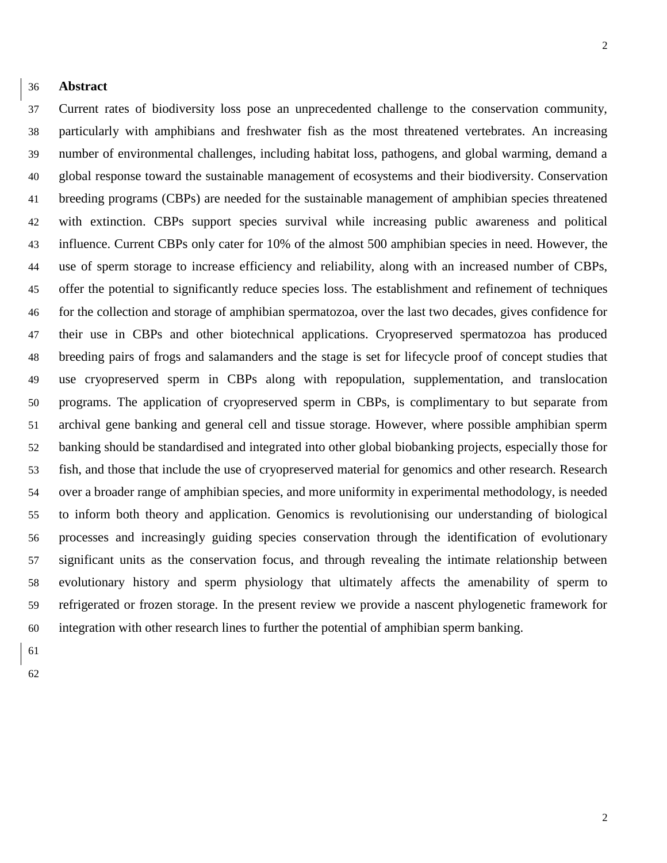#### **Abstract**

 Current rates of biodiversity loss pose an unprecedented challenge to the conservation community, particularly with amphibians and freshwater fish as the most threatened vertebrates. An increasing number of environmental challenges, including habitat loss, pathogens, and global warming, demand a global response toward the sustainable management of ecosystems and their biodiversity. Conservation breeding programs (CBPs) are needed for the sustainable management of amphibian species threatened with extinction. CBPs support species survival while increasing public awareness and political influence. Current CBPs only cater for 10% of the almost 500 amphibian species in need. However, the use of sperm storage to increase efficiency and reliability, along with an increased number of CBPs, offer the potential to significantly reduce species loss. The establishment and refinement of techniques for the collection and storage of amphibian spermatozoa, over the last two decades, gives confidence for their use in CBPs and other biotechnical applications. Cryopreserved spermatozoa has produced breeding pairs of frogs and salamanders and the stage is set for lifecycle proof of concept studies that

 use cryopreserved sperm in CBPs along with repopulation, supplementation, and translocation programs. The application of cryopreserved sperm in CBPs, is complimentary to but separate from archival gene banking and general cell and tissue storage. However, where possible amphibian sperm banking should be standardised and integrated into other global biobanking projects, especially those for fish, and those that include the use of cryopreserved material for genomics and other research. Research over a broader range of amphibian species, and more uniformity in experimental methodology, is needed to inform both theory and application. Genomics is revolutionising our understanding of biological processes and increasingly guiding species conservation through the identification of evolutionary significant units as the conservation focus, and through revealing the intimate relationship between evolutionary history and sperm physiology that ultimately affects the amenability of sperm to refrigerated or frozen storage. In the present review we provide a nascent phylogenetic framework for integration with other research lines to further the potential of amphibian sperm banking.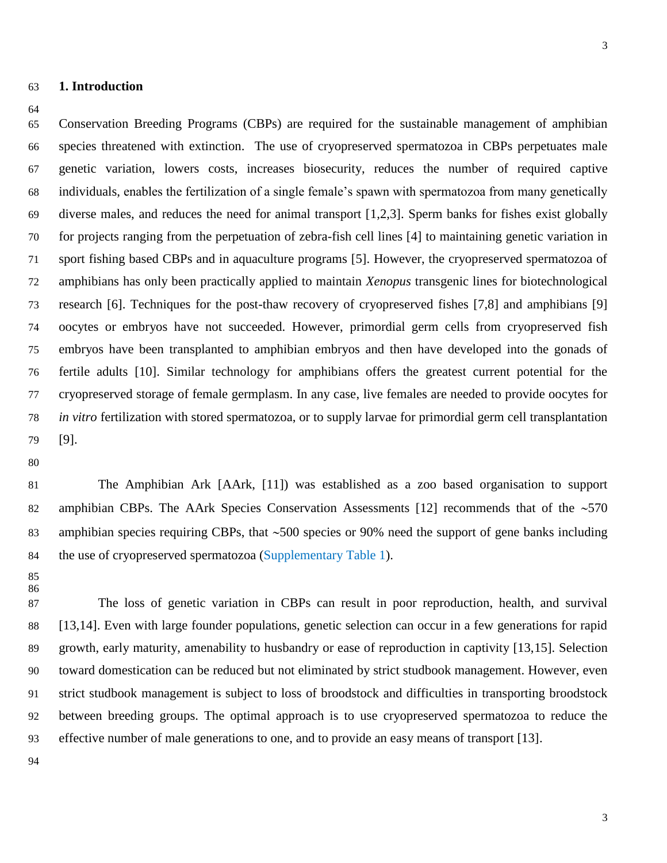#### **1. Introduction**

#### 

 Conservation Breeding Programs (CBPs) are required for the sustainable management of amphibian species threatened with extinction. The use of cryopreserved spermatozoa in CBPs perpetuates male genetic variation, lowers costs, increases biosecurity, reduces the number of required captive individuals, enables the fertilization of a single female's spawn with spermatozoa from many genetically diverse males, and reduces the need for animal transport [1,2,3]. Sperm banks for fishes exist globally for projects ranging from the perpetuation of zebra-fish cell lines [4] to maintaining genetic variation in sport fishing based CBPs and in aquaculture programs [5]. However, the cryopreserved spermatozoa of amphibians has only been practically applied to maintain *Xenopus* transgenic lines for biotechnological research [6]. Techniques for the post-thaw recovery of cryopreserved fishes [7,8] and amphibians [9] oocytes or embryos have not succeeded. However, primordial germ cells from cryopreserved fish embryos have been transplanted to amphibian embryos and then have developed into the gonads of fertile adults [10]. Similar technology for amphibians offers the greatest current potential for the cryopreserved storage of female germplasm. In any case, live females are needed to provide oocytes for *in vitro* fertilization with stored spermatozoa, or to supply larvae for primordial germ cell transplantation [9].

 The Amphibian Ark [AArk, [11]) was established as a zoo based organisation to support 82 amphibian CBPs. The AArk Species Conservation Assessments [12] recommends that of the  $\sim$  570 83 amphibian species requiring CBPs, that  $\sim$  500 species or 90% need the support of gene banks including 84 the use of cryopreserved spermatozoa (Supplementary Table 1).

 

 The loss of genetic variation in CBPs can result in poor reproduction, health, and survival [13,14]. Even with large founder populations, genetic selection can occur in a few generations for rapid growth, early maturity, amenability to husbandry or ease of reproduction in captivity [13,15]. Selection toward domestication can be reduced but not eliminated by strict studbook management. However, even strict studbook management is subject to loss of broodstock and difficulties in transporting broodstock between breeding groups. The optimal approach is to use cryopreserved spermatozoa to reduce the effective number of male generations to one, and to provide an easy means of transport [13].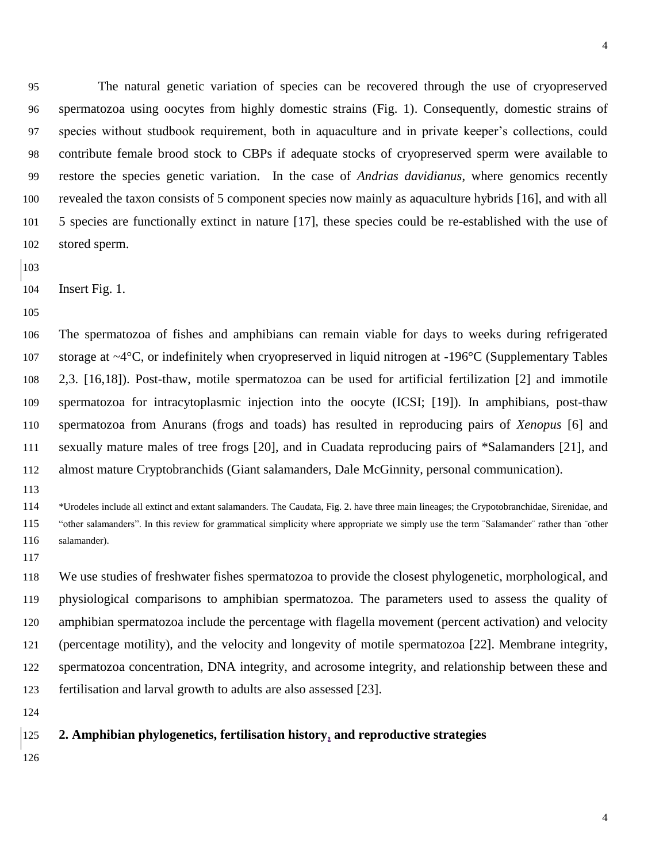The natural genetic variation of species can be recovered through the use of cryopreserved spermatozoa using oocytes from highly domestic strains (Fig. 1). Consequently, domestic strains of species without studbook requirement, both in aquaculture and in private keeper's collections, could contribute female brood stock to CBPs if adequate stocks of cryopreserved sperm were available to restore the species genetic variation. In the case of *Andrias davidianus*, where genomics recently revealed the taxon consists of 5 component species now mainly as aquaculture hybrids [16], and with all 5 species are functionally extinct in nature [17], these species could be re-established with the use of stored sperm.

- 
- Insert Fig. 1.
- 

 The spermatozoa of fishes and amphibians can remain viable for days to weeks during refrigerated storage at ~4°C, or indefinitely when cryopreserved in liquid nitrogen at -196°C (Supplementary Tables 2,3. [16,18]). Post-thaw, motile spermatozoa can be used for artificial fertilization [2] and immotile spermatozoa for intracytoplasmic injection into the oocyte (ICSI; [19]). In amphibians, post-thaw spermatozoa from Anurans (frogs and toads) has resulted in reproducing pairs of *Xenopus* [6] and sexually mature males of tree frogs [20], and in Cuadata reproducing pairs of \*Salamanders [21], and almost mature Cryptobranchids (Giant salamanders, Dale McGinnity, personal communication).

 \*Urodeles include all extinct and extant salamanders. The Caudata, Fig. 2. have three main lineages; the Crypotobranchidae, Sirenidae, and 115 "other salamanders". In this review for grammatical simplicity where appropriate we simply use the term "Salamander" rather than "other salamander).

 We use studies of freshwater fishes spermatozoa to provide the closest phylogenetic, morphological, and physiological comparisons to amphibian spermatozoa. The parameters used to assess the quality of amphibian spermatozoa include the percentage with flagella movement (percent activation) and velocity (percentage motility), and the velocity and longevity of motile spermatozoa [22]. Membrane integrity, spermatozoa concentration, DNA integrity, and acrosome integrity, and relationship between these and fertilisation and larval growth to adults are also assessed [23].

#### **2. Amphibian phylogenetics, fertilisation history, and reproductive strategies**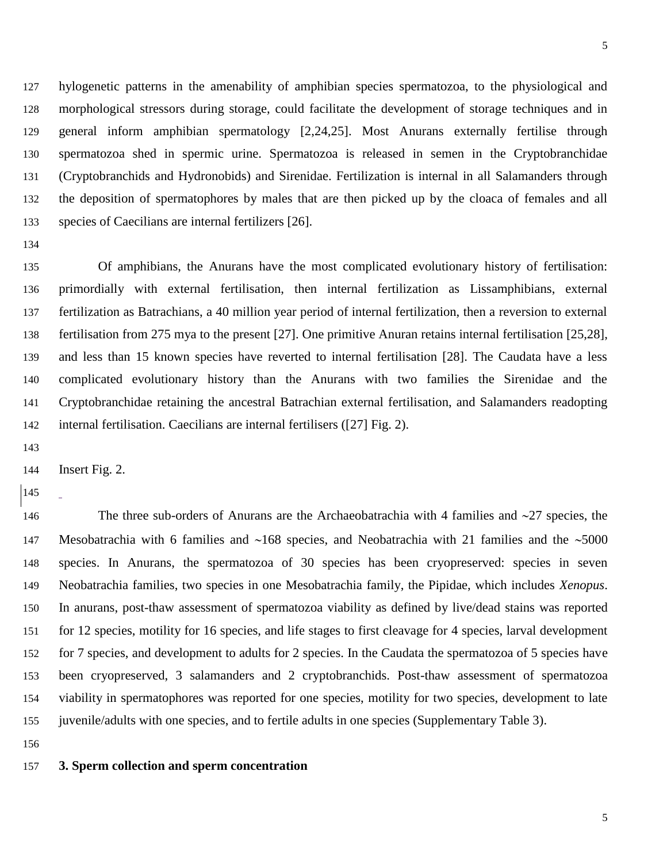hylogenetic patterns in the amenability of amphibian species spermatozoa, to the physiological and morphological stressors during storage, could facilitate the development of storage techniques and in general inform amphibian spermatology [2,24,25]. Most Anurans externally fertilise through spermatozoa shed in spermic urine. Spermatozoa is released in semen in the Cryptobranchidae (Cryptobranchids and Hydronobids) and Sirenidae. Fertilization is internal in all Salamanders through the deposition of spermatophores by males that are then picked up by the cloaca of females and all species of Caecilians are internal fertilizers [26].

 Of amphibians, the Anurans have the most complicated evolutionary history of fertilisation: primordially with external fertilisation, then internal fertilization as Lissamphibians, external fertilization as Batrachians, a 40 million year period of internal fertilization, then a reversion to external fertilisation from 275 mya to the present [27]. One primitive Anuran retains internal fertilisation [25,28], and less than 15 known species have reverted to internal fertilisation [28]. The Caudata have a less complicated evolutionary history than the Anurans with two families the Sirenidae and the Cryptobranchidae retaining the ancestral Batrachian external fertilisation, and Salamanders readopting internal fertilisation. Caecilians are internal fertilisers ([27] Fig. 2).

Insert Fig. 2.

146 The three sub-orders of Anurans are the Archaeobatrachia with 4 families and  $\sim$ 27 species, the 147 Mesobatrachia with 6 families and  $~168$  species, and Neobatrachia with 21 families and the  $~5000$  species. In Anurans, the spermatozoa of 30 species has been cryopreserved: species in seven Neobatrachia families, two species in one Mesobatrachia family, the Pipidae, which includes *Xenopus*. In anurans, post-thaw assessment of spermatozoa viability as defined by live/dead stains was reported for 12 species, motility for 16 species, and life stages to first cleavage for 4 species, larval development for 7 species, and development to adults for 2 species. In the Caudata the spermatozoa of 5 species have been cryopreserved, 3 salamanders and 2 cryptobranchids. Post-thaw assessment of spermatozoa viability in spermatophores was reported for one species, motility for two species, development to late juvenile/adults with one species, and to fertile adults in one species (Supplementary Table 3).

**3. Sperm collection and sperm concentration**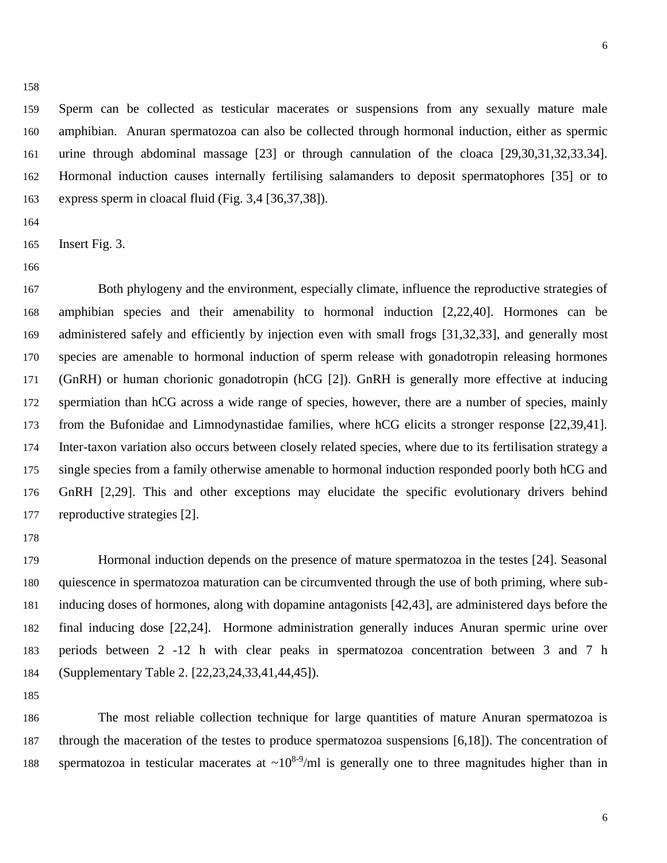Sperm can be collected as testicular macerates or suspensions from any sexually mature male amphibian. Anuran spermatozoa can also be collected through hormonal induction, either as spermic urine through abdominal massage [23] or through cannulation of the cloaca [29,30,31,32,33.34]. Hormonal induction causes internally fertilising salamanders to deposit spermatophores [35] or to express sperm in cloacal fluid (Fig. 3,4 [36,37,38]).

Insert Fig. 3.

 Both phylogeny and the environment, especially climate, influence the reproductive strategies of amphibian species and their amenability to hormonal induction [2,22,40]. Hormones can be administered safely and efficiently by injection even with small frogs [31,32,33], and generally most species are amenable to hormonal induction of sperm release with gonadotropin releasing hormones (GnRH) or human chorionic gonadotropin (hCG [2]). GnRH is generally more effective at inducing spermiation than hCG across a wide range of species, however, there are a number of species, mainly from the Bufonidae and Limnodynastidae families, where hCG elicits a stronger response [22,39,41]. Inter-taxon variation also occurs between closely related species, where due to its fertilisation strategy a single species from a family otherwise amenable to hormonal induction responded poorly both hCG and GnRH [2,29]. This and other exceptions may elucidate the specific evolutionary drivers behind reproductive strategies [2].

 Hormonal induction depends on the presence of mature spermatozoa in the testes [24]. Seasonal quiescence in spermatozoa maturation can be circumvented through the use of both priming, where sub- inducing doses of hormones, along with dopamine antagonists [42,43], are administered days before the final inducing dose [22,24]. Hormone administration generally induces Anuran spermic urine over periods between 2 -12 h with clear peaks in spermatozoa concentration between 3 and 7 h (Supplementary Table 2. [22,23,24,33,41,44,45]).

 The most reliable collection technique for large quantities of mature Anuran spermatozoa is through the maceration of the testes to produce spermatozoa suspensions [6,18]). The concentration of 188 spermatozoa in testicular macerates at  $\sim 10^{8.9}$ /ml is generally one to three magnitudes higher than in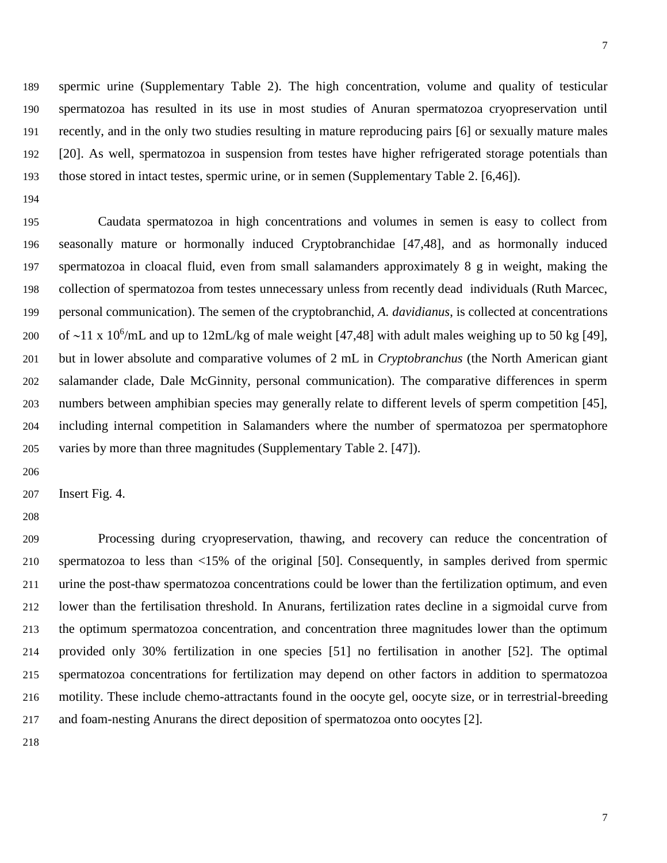spermic urine (Supplementary Table 2). The high concentration, volume and quality of testicular spermatozoa has resulted in its use in most studies of Anuran spermatozoa cryopreservation until recently, and in the only two studies resulting in mature reproducing pairs [6] or sexually mature males [20]. As well, spermatozoa in suspension from testes have higher refrigerated storage potentials than those stored in intact testes, spermic urine, or in semen (Supplementary Table 2. [6,46]).

 Caudata spermatozoa in high concentrations and volumes in semen is easy to collect from seasonally mature or hormonally induced Cryptobranchidae [47,48], and as hormonally induced spermatozoa in cloacal fluid, even from small salamanders approximately 8 g in weight, making the collection of spermatozoa from testes unnecessary unless from recently dead individuals (Ruth Marcec, personal communication). The semen of the cryptobranchid, *A. davidianus*, is collected at concentrations 200 of ~11 x 10<sup>6</sup>/mL and up to 12mL/kg of male weight [47,48] with adult males weighing up to 50 kg [49], but in lower absolute and comparative volumes of 2 mL in *Cryptobranchus* (the North American giant salamander clade, Dale McGinnity, personal communication). The comparative differences in sperm numbers between amphibian species may generally relate to different levels of sperm competition [45], including internal competition in Salamanders where the number of spermatozoa per spermatophore varies by more than three magnitudes (Supplementary Table 2. [47]).

Insert Fig. 4.

 Processing during cryopreservation, thawing, and recovery can reduce the concentration of spermatozoa to less than <15% of the original [50]. Consequently, in samples derived from spermic urine the post-thaw spermatozoa concentrations could be lower than the fertilization optimum, and even lower than the fertilisation threshold. In Anurans, fertilization rates decline in a sigmoidal curve from the optimum spermatozoa concentration, and concentration three magnitudes lower than the optimum provided only 30% fertilization in one species [51] no fertilisation in another [52]. The optimal spermatozoa concentrations for fertilization may depend on other factors in addition to spermatozoa motility. These include chemo-attractants found in the oocyte gel, oocyte size, or in terrestrial-breeding and foam-nesting Anurans the direct deposition of spermatozoa onto oocytes [2].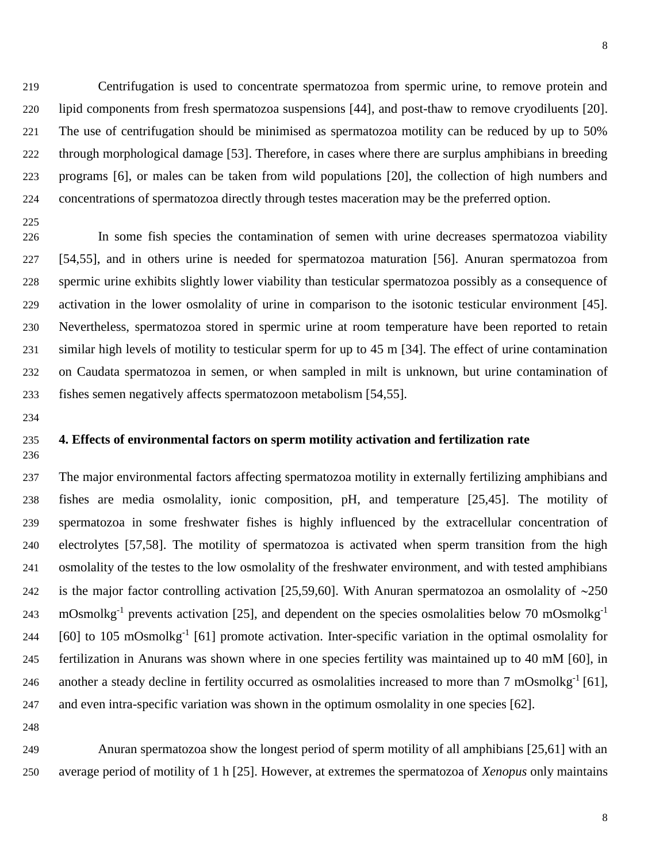Centrifugation is used to concentrate spermatozoa from spermic urine, to remove protein and lipid components from fresh spermatozoa suspensions [44], and post-thaw to remove cryodiluents [20]. The use of centrifugation should be minimised as spermatozoa motility can be reduced by up to 50% through morphological damage [53]. Therefore, in cases where there are surplus amphibians in breeding programs [6], or males can be taken from wild populations [20], the collection of high numbers and concentrations of spermatozoa directly through testes maceration may be the preferred option.

 In some fish species the contamination of semen with urine decreases spermatozoa viability [54,55], and in others urine is needed for spermatozoa maturation [56]. Anuran spermatozoa from spermic urine exhibits slightly lower viability than testicular spermatozoa possibly as a consequence of activation in the lower osmolality of urine in comparison to the isotonic testicular environment [45]. Nevertheless, spermatozoa stored in spermic urine at room temperature have been reported to retain similar high levels of motility to testicular sperm for up to 45 m [34]. The effect of urine contamination on Caudata spermatozoa in semen, or when sampled in milt is unknown, but urine contamination of fishes semen negatively affects spermatozoon metabolism [54,55].

#### **4. Effects of environmental factors on sperm motility activation and fertilization rate**

 The major environmental factors affecting spermatozoa motility in externally fertilizing amphibians and fishes are media osmolality, ionic composition, pH, and temperature [25,45]. The motility of spermatozoa in some freshwater fishes is highly influenced by the extracellular concentration of electrolytes [57,58]. The motility of spermatozoa is activated when sperm transition from the high osmolality of the testes to the low osmolality of the freshwater environment, and with tested amphibians 242 is the major factor controlling activation [25,59,60]. With Anuran spermatozoa an osmolality of  $\sim$ 250 mOsmolkg<sup>-1</sup> prevents activation [25], and dependent on the species osmolalities below 70 mOsmolkg<sup>-1</sup> 244 [60] to 105 mOsmolkg<sup>-1</sup> [61] promote activation. Inter-specific variation in the optimal osmolality for fertilization in Anurans was shown where in one species fertility was maintained up to 40 mM [60], in 246 another a steady decline in fertility occurred as osmolalities increased to more than 7 mOsmolkg<sup>-1</sup> [61], and even intra-specific variation was shown in the optimum osmolality in one species [62].

 Anuran spermatozoa show the longest period of sperm motility of all amphibians [25,61] with an average period of motility of 1 h [25]. However, at extremes the spermatozoa of *Xenopus* only maintains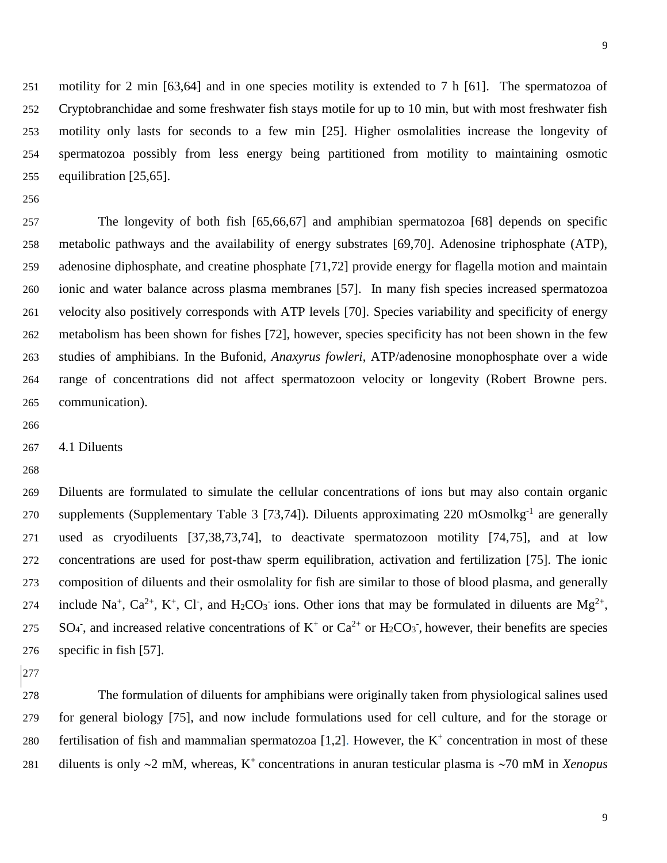motility for 2 min [63,64] and in one species motility is extended to 7 h [61]. The spermatozoa of Cryptobranchidae and some freshwater fish stays motile for up to 10 min, but with most freshwater fish motility only lasts for seconds to a few min [25]. Higher osmolalities increase the longevity of spermatozoa possibly from less energy being partitioned from motility to maintaining osmotic equilibration [25,65].

 The longevity of both fish [65,66,67] and amphibian spermatozoa [68] depends on specific metabolic pathways and the availability of energy substrates [69,70]. Adenosine triphosphate (ATP), adenosine diphosphate, and creatine phosphate [71,72] provide energy for flagella motion and maintain ionic and water balance across plasma membranes [57]. In many fish species increased spermatozoa velocity also positively corresponds with ATP levels [70]. Species variability and specificity of energy metabolism has been shown for fishes [72], however, species specificity has not been shown in the few studies of amphibians. In the Bufonid, *Anaxyrus fowleri*, ATP/adenosine monophosphate over a wide range of concentrations did not affect spermatozoon velocity or longevity (Robert Browne pers. communication).

4.1 Diluents

 Diluents are formulated to simulate the cellular concentrations of ions but may also contain organic 270 supplements (Supplementary Table 3 [73,74]). Diluents approximating 220 mOsmolkg<sup>-1</sup> are generally used as cryodiluents [37,38,73,74], to deactivate spermatozoon motility [74,75], and at low concentrations are used for post-thaw sperm equilibration, activation and fertilization [75]. The ionic composition of diluents and their osmolality for fish are similar to those of blood plasma, and generally 274 include Na<sup>+</sup>, Ca<sup>2+</sup>, K<sup>+</sup>, Cl<sup>-</sup>, and H<sub>2</sub>CO<sub>3</sub><sup>-</sup> ions. Other ions that may be formulated in diluents are Mg<sup>2+</sup>, 275 SO<sub>4</sub>, and increased relative concentrations of K<sup>+</sup> or Ca<sup>2+</sup> or H<sub>2</sub>CO<sub>3</sub>, however, their benefits are species specific in fish [57].

 The formulation of diluents for amphibians were originally taken from physiological salines used for general biology [75], and now include formulations used for cell culture, and for the storage or 280 fertilisation of fish and mammalian spermatozoa  $[1,2]$ . However, the K<sup>+</sup> concentration in most of these 281 diluents is only  $\sim$ 2 mM, whereas, K<sup>+</sup> concentrations in anuran testicular plasma is  $\sim$ 70 mM in *Xenopus*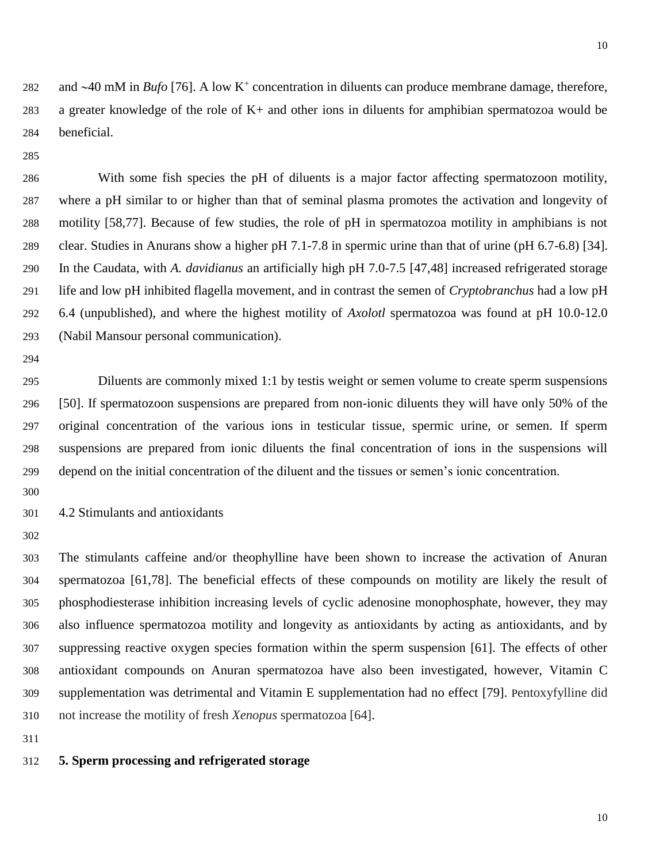282 and  $\sim$ 40 mM in *Bufo* [76]. A low K<sup>+</sup> concentration in diluents can produce membrane damage, therefore, a greater knowledge of the role of K+ and other ions in diluents for amphibian spermatozoa would be beneficial.

 With some fish species the pH of diluents is a major factor affecting spermatozoon motility, where a pH similar to or higher than that of seminal plasma promotes the activation and longevity of motility [58,77]. Because of few studies, the role of pH in spermatozoa motility in amphibians is not clear. Studies in Anurans show a higher pH 7.1-7.8 in spermic urine than that of urine (pH 6.7-6.8) [34]. In the Caudata, with *A. davidianus* an artificially high pH 7.0-7.5 [47,48] increased refrigerated storage life and low pH inhibited flagella movement, and in contrast the semen of *Cryptobranchus* had a low pH 6.4 (unpublished), and where the highest motility of *Axolotl* spermatozoa was found at pH 10.0-12.0 (Nabil Mansour personal communication).

 Diluents are commonly mixed 1:1 by testis weight or semen volume to create sperm suspensions [50]. If spermatozoon suspensions are prepared from non-ionic diluents they will have only 50% of the original concentration of the various ions in testicular tissue, spermic urine, or semen. If sperm suspensions are prepared from ionic diluents the final concentration of ions in the suspensions will depend on the initial concentration of the diluent and the tissues or semen's ionic concentration.

4.2 Stimulants and antioxidants

 The stimulants caffeine and/or theophylline have been shown to increase the activation of Anuran spermatozoa [61,78]. The beneficial effects of these compounds on motility are likely the result of phosphodiesterase inhibition increasing levels of cyclic adenosine monophosphate, however, they may also influence spermatozoa motility and longevity as antioxidants by acting as antioxidants, and by suppressing reactive oxygen species formation within the sperm suspension [61]. The effects of other antioxidant compounds on Anuran spermatozoa have also been investigated, however, Vitamin C supplementation was detrimental and Vitamin E supplementation had no effect [79]. Pentoxyfylline did not increase the motility of fresh *Xenopus* spermatozoa [64].

#### **5. Sperm processing and refrigerated storage**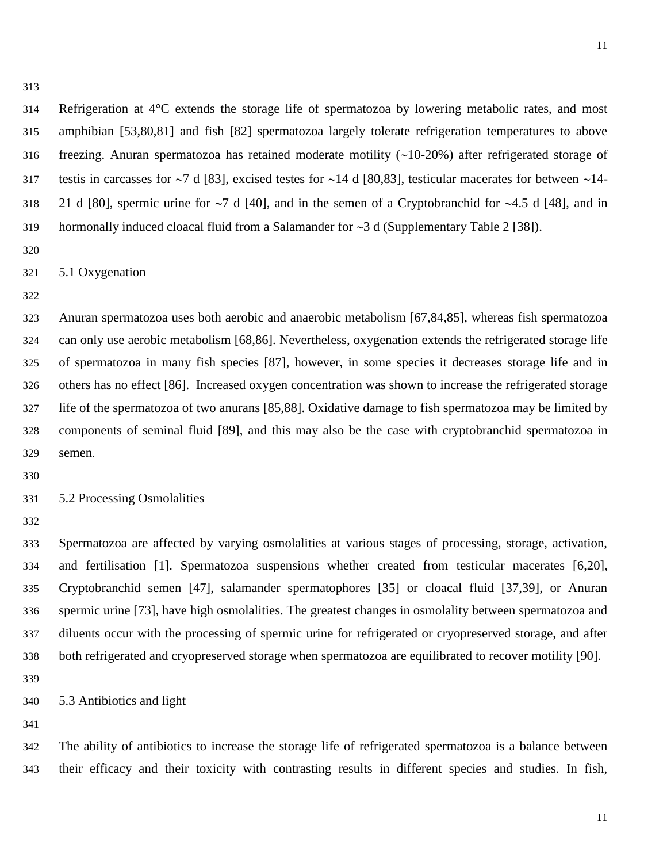Refrigeration at 4°C extends the storage life of spermatozoa by lowering metabolic rates, and most amphibian [53,80,81] and fish [82] spermatozoa largely tolerate refrigeration temperatures to above 316 freezing. Anuran spermatozoa has retained moderate motility  $(\sim 10-20\%)$  after refrigerated storage of 317 testis in carcasses for  $\sim$ 7 d [83], excised testes for  $\sim$ 14 d [80,83], testicular macerates for between  $\sim$ 14-318 21 d [80], spermic urine for  $\sim$ 7 d [40], and in the semen of a Cryptobranchid for  $\sim$ 4.5 d [48], and in 319 hormonally induced cloacal fluid from a Salamander for  $\sim$  3 d (Supplementary Table 2 [38]).

5.1 Oxygenation

 Anuran spermatozoa uses both aerobic and anaerobic metabolism [67,84,85], whereas fish spermatozoa can only use aerobic metabolism [68,86]. Nevertheless, oxygenation extends the refrigerated storage life of spermatozoa in many fish species [87], however, in some species it decreases storage life and in others has no effect [86]. Increased oxygen concentration was shown to increase the refrigerated storage life of the spermatozoa of two anurans [85,88]. Oxidative damage to fish spermatozoa may be limited by components of seminal fluid [89], and this may also be the case with cryptobranchid spermatozoa in semen.

5.2 Processing Osmolalities

 Spermatozoa are affected by varying osmolalities at various stages of processing, storage, activation, and fertilisation [1]. Spermatozoa suspensions whether created from testicular macerates [6,20], Cryptobranchid semen [47], salamander spermatophores [35] or cloacal fluid [37,39], or Anuran spermic urine [73], have high osmolalities. The greatest changes in osmolality between spermatozoa and diluents occur with the processing of spermic urine for refrigerated or cryopreserved storage, and after both refrigerated and cryopreserved storage when spermatozoa are equilibrated to recover motility [90].

5.3 Antibiotics and light

 The ability of antibiotics to increase the storage life of refrigerated spermatozoa is a balance between their efficacy and their toxicity with contrasting results in different species and studies. In fish,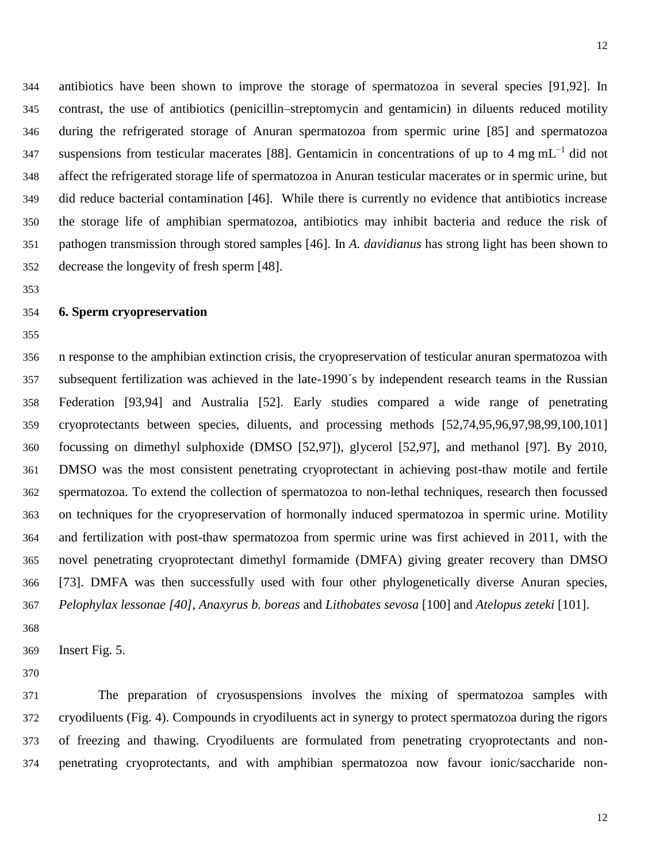antibiotics have been shown to improve the storage of spermatozoa in several species [91,92]. In contrast, the use of antibiotics (penicillin–streptomycin and gentamicin) in diluents reduced motility during the refrigerated storage of Anuran spermatozoa from spermic urine [85] and spermatozoa suspensions from testicular macerates [88]. Gentamicin in concentrations of up to 4 mg mL<sup>-1</sup> did not affect the refrigerated storage life of spermatozoa in Anuran testicular macerates or in spermic urine, but did reduce bacterial contamination [46]. While there is currently no evidence that antibiotics increase the storage life of amphibian spermatozoa, antibiotics may inhibit bacteria and reduce the risk of pathogen transmission through stored samples [46]. In *A. davidianus* has strong light has been shown to decrease the longevity of fresh sperm [48].

#### **6. Sperm cryopreservation**

 n response to the amphibian extinction crisis, the cryopreservation of testicular anuran spermatozoa with subsequent fertilization was achieved in the late-1990´s by independent research teams in the Russian Federation [93,94] and Australia [52]. Early studies compared a wide range of penetrating cryoprotectants between species, diluents, and processing methods [52,74,95,96,97,98,99,100,101] focussing on dimethyl sulphoxide (DMSO [52,97]), glycerol [52,97], and methanol [97]. By 2010, DMSO was the most consistent penetrating cryoprotectant in achieving post-thaw motile and fertile spermatozoa. To extend the collection of spermatozoa to non-lethal techniques, research then focussed on techniques for the cryopreservation of hormonally induced spermatozoa in spermic urine. Motility and fertilization with post-thaw spermatozoa from spermic urine was first achieved in 2011, with the novel penetrating cryoprotectant dimethyl formamide (DMFA) giving greater recovery than DMSO [73]. DMFA was then successfully used with four other phylogenetically diverse Anuran species, *Pelophylax lessonae [40]*, *Anaxyrus b. boreas* and *Lithobates sevosa* [100] and *Atelopus zeteki* [101].

Insert Fig. 5.

 The preparation of cryosuspensions involves the mixing of spermatozoa samples with cryodiluents (Fig. 4). Compounds in cryodiluents act in synergy to protect spermatozoa during the rigors of freezing and thawing. Cryodiluents are formulated from penetrating cryoprotectants and non-penetrating cryoprotectants, and with amphibian spermatozoa now favour ionic/saccharide non-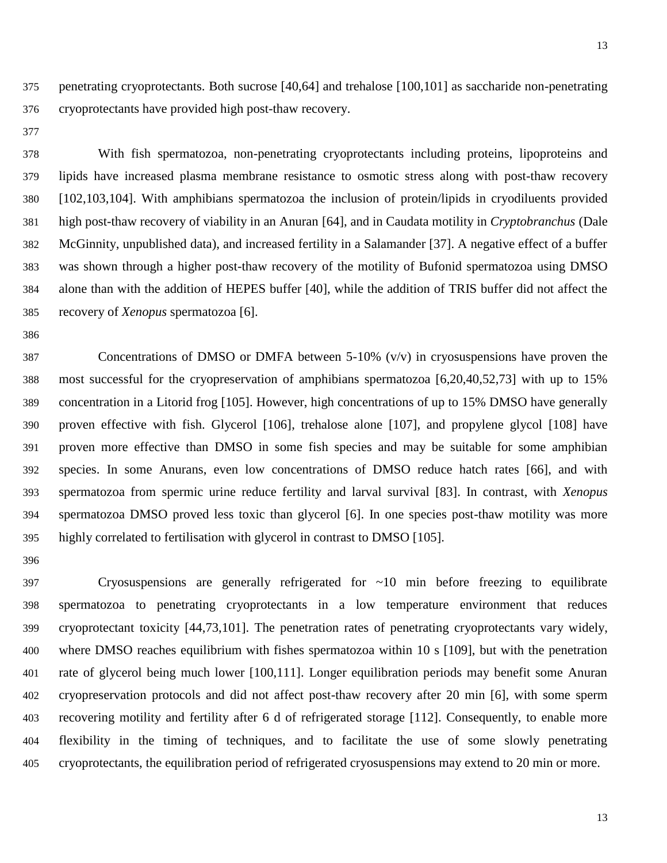- penetrating cryoprotectants. Both sucrose [40,64] and trehalose [100,101] as saccharide non-penetrating cryoprotectants have provided high post-thaw recovery.
- 

 With fish spermatozoa, non-penetrating cryoprotectants including proteins, lipoproteins and lipids have increased plasma membrane resistance to osmotic stress along with post-thaw recovery [102,103,104]. With amphibians spermatozoa the inclusion of protein/lipids in cryodiluents provided high post-thaw recovery of viability in an Anuran [64], and in Caudata motility in *Cryptobranchus* (Dale McGinnity, unpublished data), and increased fertility in a Salamander [37]. A negative effect of a buffer was shown through a higher post-thaw recovery of the motility of Bufonid spermatozoa using DMSO alone than with the addition of HEPES buffer [40], while the addition of TRIS buffer did not affect the recovery of *Xenopus* spermatozoa [6].

 Concentrations of DMSO or DMFA between 5-10% (v/v) in cryosuspensions have proven the most successful for the cryopreservation of amphibians spermatozoa [6,20,40,52,73] with up to 15% concentration in a Litorid frog [105]. However, high concentrations of up to 15% DMSO have generally proven effective with fish. Glycerol [106], trehalose alone [107], and propylene glycol [108] have proven more effective than DMSO in some fish species and may be suitable for some amphibian species. In some Anurans, even low concentrations of DMSO reduce hatch rates [66], and with spermatozoa from spermic urine reduce fertility and larval survival [83]. In contrast, with *Xenopus* spermatozoa DMSO proved less toxic than glycerol [6]. In one species post-thaw motility was more highly correlated to fertilisation with glycerol in contrast to DMSO [105].

 Cryosuspensions are generally refrigerated for ~10 min before freezing to equilibrate spermatozoa to penetrating cryoprotectants in a low temperature environment that reduces cryoprotectant toxicity [44,73,101]. The penetration rates of penetrating cryoprotectants vary widely, where DMSO reaches equilibrium with fishes spermatozoa within 10 s [109], but with the penetration rate of glycerol being much lower [100,111]. Longer equilibration periods may benefit some Anuran cryopreservation protocols and did not affect post-thaw recovery after 20 min [6], with some sperm recovering motility and fertility after 6 d of refrigerated storage [112]. Consequently, to enable more flexibility in the timing of techniques, and to facilitate the use of some slowly penetrating cryoprotectants, the equilibration period of refrigerated cryosuspensions may extend to 20 min or more.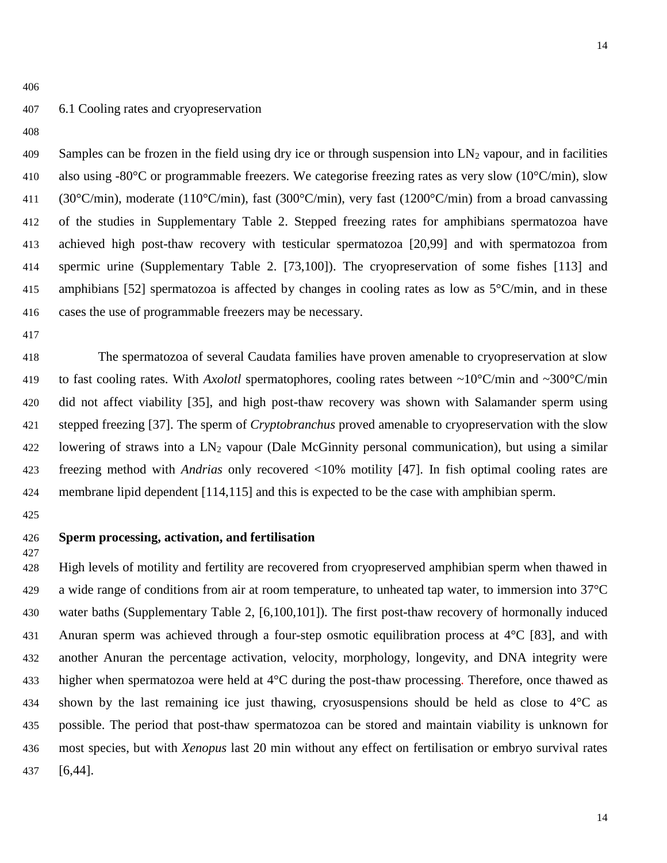#### 6.1 Cooling rates and cryopreservation

409 Samples can be frozen in the field using dry ice or through suspension into  $LN_2$  vapour, and in facilities 410 also using -80 $^{\circ}$ C or programmable freezers. We categorise freezing rates as very slow (10 $^{\circ}$ C/min), slow (30°C/min), moderate (110°C/min), fast (300°C/min), very fast (1200°C/min) from a broad canvassing of the studies in Supplementary Table 2. Stepped freezing rates for amphibians spermatozoa have achieved high post-thaw recovery with testicular spermatozoa [20,99] and with spermatozoa from spermic urine (Supplementary Table 2. [73,100]). The cryopreservation of some fishes [113] and amphibians [52] spermatozoa is affected by changes in cooling rates as low as 5°C/min, and in these cases the use of programmable freezers may be necessary.

 The spermatozoa of several Caudata families have proven amenable to cryopreservation at slow to fast cooling rates. With *Axolotl* spermatophores, cooling rates between ~10°C/min and ~300°C/min did not affect viability [35], and high post-thaw recovery was shown with Salamander sperm using stepped freezing [37]. The sperm of *Cryptobranchus* proved amenable to cryopreservation with the slow lowering of straws into a LN<sup>2</sup> vapour (Dale McGinnity personal communication), but using a similar freezing method with *Andrias* only recovered <10% motility [47]. In fish optimal cooling rates are membrane lipid dependent [114,115] and this is expected to be the case with amphibian sperm.

#### **Sperm processing, activation, and fertilisation**

 High levels of motility and fertility are recovered from cryopreserved amphibian sperm when thawed in a wide range of conditions from air at room temperature, to unheated tap water, to immersion into 37°C water baths (Supplementary Table 2, [6,100,101]). The first post-thaw recovery of hormonally induced 431 Anuran sperm was achieved through a four-step osmotic equilibration process at 4<sup>o</sup>C [83], and with another Anuran the percentage activation, velocity, morphology, longevity, and DNA integrity were higher when spermatozoa were held at 4°C during the post-thaw processing. Therefore, once thawed as shown by the last remaining ice just thawing, cryosuspensions should be held as close to 4°C as possible. The period that post-thaw spermatozoa can be stored and maintain viability is unknown for most species, but with *Xenopus* last 20 min without any effect on fertilisation or embryo survival rates [6,44].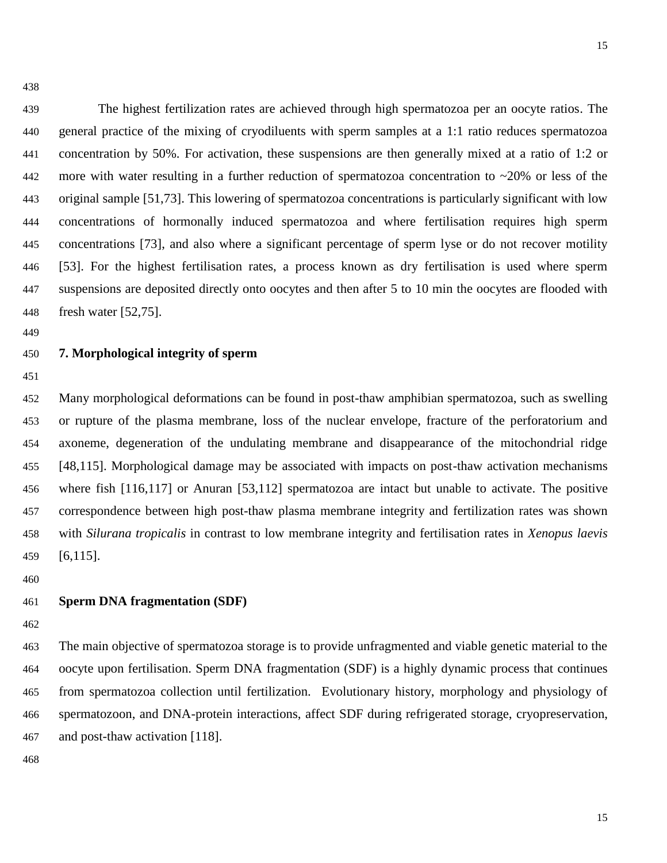The highest fertilization rates are achieved through high spermatozoa per an oocyte ratios. The general practice of the mixing of cryodiluents with sperm samples at a 1:1 ratio reduces spermatozoa concentration by 50%. For activation, these suspensions are then generally mixed at a ratio of 1:2 or 442 more with water resulting in a further reduction of spermatozoa concentration to  $\sim$ 20% or less of the original sample [51,73]. This lowering of spermatozoa concentrations is particularly significant with low concentrations of hormonally induced spermatozoa and where fertilisation requires high sperm concentrations [73], and also where a significant percentage of sperm lyse or do not recover motility [53]. For the highest fertilisation rates, a process known as dry fertilisation is used where sperm suspensions are deposited directly onto oocytes and then after 5 to 10 min the oocytes are flooded with fresh water [52,75].

#### **7. Morphological integrity of sperm**

 Many morphological deformations can be found in post-thaw amphibian spermatozoa, such as swelling or rupture of the plasma membrane, loss of the nuclear envelope, fracture of the perforatorium and axoneme, degeneration of the undulating membrane and disappearance of the mitochondrial ridge [48,115]. Morphological damage may be associated with impacts on post-thaw activation mechanisms where fish [116,117] or Anuran [53,112] spermatozoa are intact but unable to activate. The positive correspondence between high post-thaw plasma membrane integrity and fertilization rates was shown with *Silurana tropicalis* in contrast to low membrane integrity and fertilisation rates in *Xenopus laevis* [6,115].

#### **Sperm DNA fragmentation (SDF)**

 The main objective of spermatozoa storage is to provide unfragmented and viable genetic material to the oocyte upon fertilisation. Sperm DNA fragmentation (SDF) is a highly dynamic process that continues from spermatozoa collection until fertilization. Evolutionary history, morphology and physiology of spermatozoon, and DNA-protein interactions, affect SDF during refrigerated storage, cryopreservation, and post-thaw activation [118].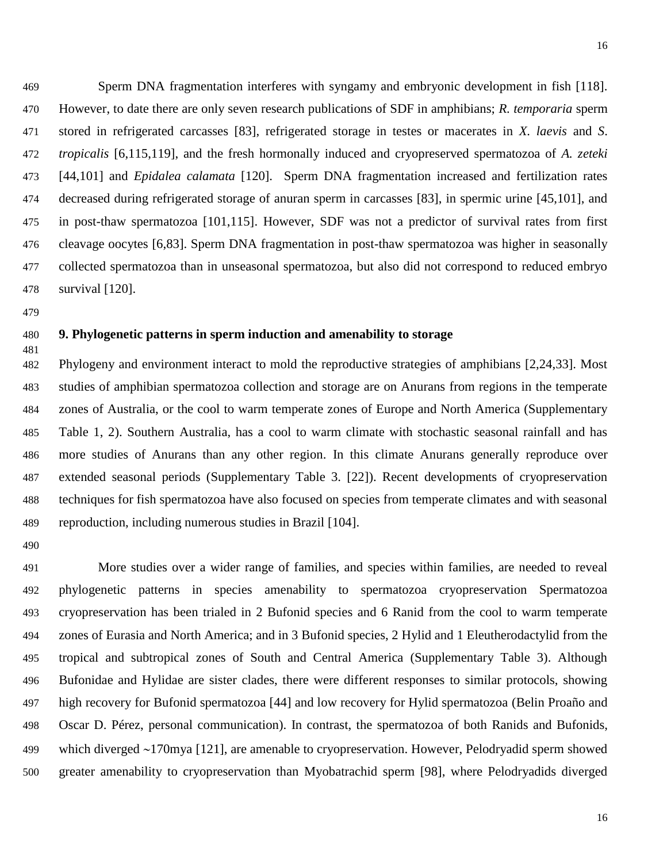Sperm DNA fragmentation interferes with syngamy and embryonic development in fish [118]. However, to date there are only seven research publications of SDF in amphibians; *R. temporaria* sperm stored in refrigerated carcasses [83], refrigerated storage in testes or macerates in *X. laevis* and *S*. *tropicalis* [6,115,119], and the fresh hormonally induced and cryopreserved spermatozoa of *A. zeteki* [44,101] and *Epidalea calamata* [120]. Sperm DNA fragmentation increased and fertilization rates decreased during refrigerated storage of anuran sperm in carcasses [83], in spermic urine [45,101], and in post-thaw spermatozoa [101,115]. However, SDF was not a predictor of survival rates from first cleavage oocytes [6,83]. Sperm DNA fragmentation in post-thaw spermatozoa was higher in seasonally collected spermatozoa than in unseasonal spermatozoa, but also did not correspond to reduced embryo survival [120].

#### **9. Phylogenetic patterns in sperm induction and amenability to storage**

 Phylogeny and environment interact to mold the reproductive strategies of amphibians [2,24,33]. Most studies of amphibian spermatozoa collection and storage are on Anurans from regions in the temperate zones of Australia, or the cool to warm temperate zones of Europe and North America (Supplementary Table 1, 2). Southern Australia, has a cool to warm climate with stochastic seasonal rainfall and has more studies of Anurans than any other region. In this climate Anurans generally reproduce over extended seasonal periods (Supplementary Table 3. [22]). Recent developments of cryopreservation techniques for fish spermatozoa have also focused on species from temperate climates and with seasonal reproduction, including numerous studies in Brazil [104].

 More studies over a wider range of families, and species within families, are needed to reveal phylogenetic patterns in species amenability to spermatozoa cryopreservation Spermatozoa cryopreservation has been trialed in 2 Bufonid species and 6 Ranid from the cool to warm temperate zones of Eurasia and North America; and in 3 Bufonid species, 2 Hylid and 1 Eleutherodactylid from the tropical and subtropical zones of South and Central America (Supplementary Table 3). Although Bufonidae and Hylidae are sister clades, there were different responses to similar protocols, showing high recovery for Bufonid spermatozoa [44] and low recovery for Hylid spermatozoa (Belin Proaño and Oscar D. Pérez, personal communication). In contrast, the spermatozoa of both Ranids and Bufonids, 499 which diverged ~170mya [121], are amenable to cryopreservation. However, Pelodryadid sperm showed greater amenability to cryopreservation than Myobatrachid sperm [98], where Pelodryadids diverged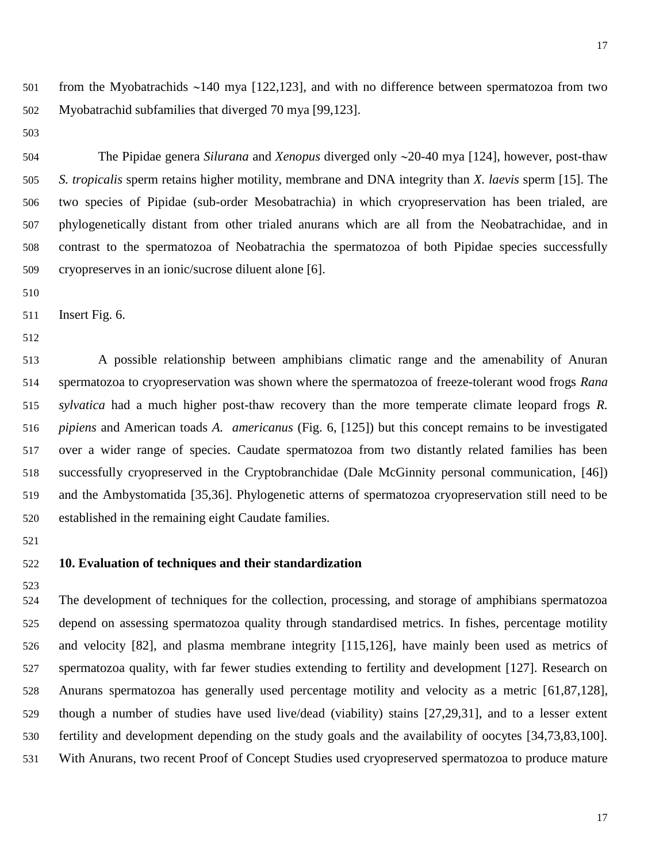501 from the Myobatrachids  $\sim$ 140 mya [122,123], and with no difference between spermatozoa from two Myobatrachid subfamilies that diverged 70 mya [99,123].

 The Pipidae genera *Silurana* and *Xenopus* diverged only 20-40 mya [124], however, post-thaw *S. tropicalis* sperm retains higher motility, membrane and DNA integrity than *X. laevis* sperm [15]. The two species of Pipidae (sub-order Mesobatrachia) in which cryopreservation has been trialed, are phylogenetically distant from other trialed anurans which are all from the Neobatrachidae, and in contrast to the spermatozoa of Neobatrachia the spermatozoa of both Pipidae species successfully cryopreserves in an ionic/sucrose diluent alone [6].

Insert Fig. 6.

 A possible relationship between amphibians climatic range and the amenability of Anuran spermatozoa to cryopreservation was shown where the spermatozoa of freeze-tolerant wood frogs *Rana sylvatica* had a much higher post-thaw recovery than the more temperate climate leopard frogs *R. pipiens* and American toads *A. americanus* (Fig. 6, [125]) but this concept remains to be investigated over a wider range of species. Caudate spermatozoa from two distantly related families has been successfully cryopreserved in the Cryptobranchidae (Dale McGinnity personal communication, [46]) and the Ambystomatida [35,36]. Phylogenetic atterns of spermatozoa cryopreservation still need to be established in the remaining eight Caudate families.

#### **10. Evaluation of techniques and their standardization**

 The development of techniques for the collection, processing, and storage of amphibians spermatozoa depend on assessing spermatozoa quality through standardised metrics. In fishes, percentage motility and velocity [82], and plasma membrane integrity [115,126], have mainly been used as metrics of spermatozoa quality, with far fewer studies extending to fertility and development [127]. Research on Anurans spermatozoa has generally used percentage motility and velocity as a metric [61,87,128], though a number of studies have used live/dead (viability) stains [27,29,31], and to a lesser extent fertility and development depending on the study goals and the availability of oocytes [34,73,83,100]. With Anurans, two recent Proof of Concept Studies used cryopreserved spermatozoa to produce mature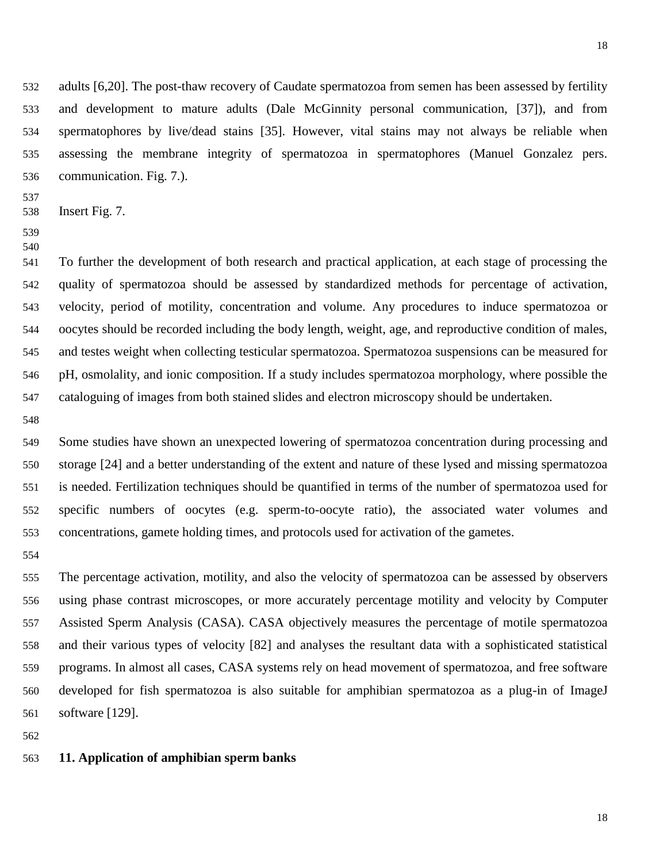adults [6,20]. The post-thaw recovery of Caudate spermatozoa from semen has been assessed by fertility and development to mature adults (Dale McGinnity personal communication, [37]), and from spermatophores by live/dead stains [35]. However, vital stains may not always be reliable when assessing the membrane integrity of spermatozoa in spermatophores (Manuel Gonzalez pers. communication. Fig. 7.).

- 
- Insert Fig. 7.
- 

 To further the development of both research and practical application, at each stage of processing the quality of spermatozoa should be assessed by standardized methods for percentage of activation, velocity, period of motility, concentration and volume. Any procedures to induce spermatozoa or oocytes should be recorded including the body length, weight, age, and reproductive condition of males, and testes weight when collecting testicular spermatozoa. Spermatozoa suspensions can be measured for pH, osmolality, and ionic composition. If a study includes spermatozoa morphology, where possible the cataloguing of images from both stained slides and electron microscopy should be undertaken.

 Some studies have shown an unexpected lowering of spermatozoa concentration during processing and storage [24] and a better understanding of the extent and nature of these lysed and missing spermatozoa is needed. Fertilization techniques should be quantified in terms of the number of spermatozoa used for specific numbers of oocytes (e.g. sperm-to-oocyte ratio), the associated water volumes and concentrations, gamete holding times, and protocols used for activation of the gametes.

 The percentage activation, motility, and also the velocity of spermatozoa can be assessed by observers using phase contrast microscopes, or more accurately percentage motility and velocity by Computer Assisted Sperm Analysis (CASA). CASA objectively measures the percentage of motile spermatozoa and their various types of velocity [82] and analyses the resultant data with a sophisticated statistical programs. In almost all cases, CASA systems rely on head movement of spermatozoa, and free software developed for fish spermatozoa is also suitable for amphibian spermatozoa as a plug-in of ImageJ software [129].

#### **11. Application of amphibian sperm banks**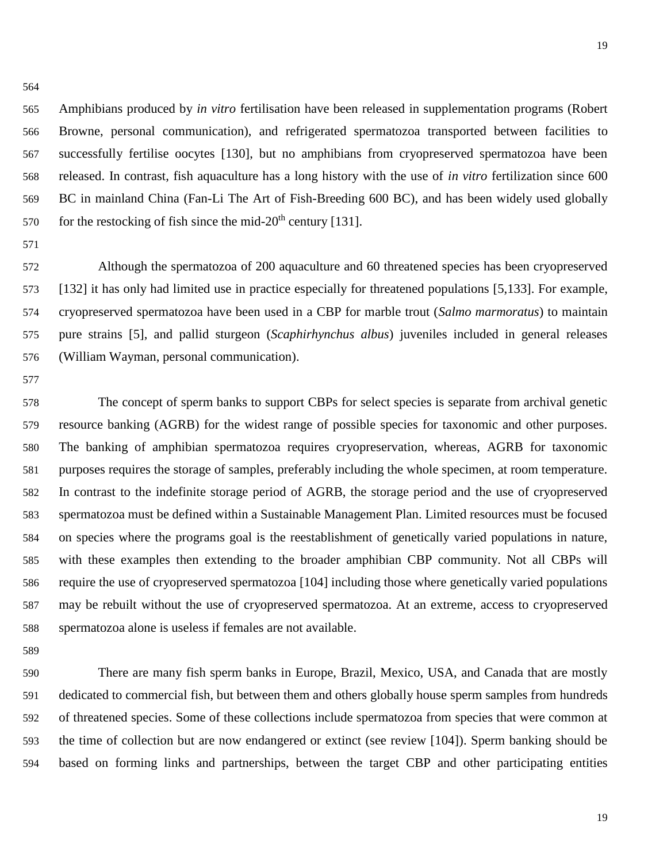Amphibians produced by *in vitro* fertilisation have been released in supplementation programs (Robert Browne, personal communication), and refrigerated spermatozoa transported between facilities to successfully fertilise oocytes [130], but no amphibians from cryopreserved spermatozoa have been released. In contrast, fish aquaculture has a long history with the use of *in vitro* fertilization since 600 BC in mainland China (Fan-Li The Art of Fish-Breeding 600 BC), and has been widely used globally for the restocking of fish since the mid-20<sup>th</sup> century [131].

 Although the spermatozoa of 200 aquaculture and 60 threatened species has been cryopreserved [132] it has only had limited use in practice especially for threatened populations [5,133]. For example, cryopreserved spermatozoa have been used in a CBP for marble trout (*Salmo marmoratus*) to maintain pure strains [5], and pallid sturgeon (*Scaphirhynchus albus*) juveniles included in general releases (William Wayman, personal communication).

 The concept of sperm banks to support CBPs for select species is separate from archival genetic resource banking (AGRB) for the widest range of possible species for taxonomic and other purposes. The banking of amphibian spermatozoa requires cryopreservation, whereas, AGRB for taxonomic purposes requires the storage of samples, preferably including the whole specimen, at room temperature. In contrast to the indefinite storage period of AGRB, the storage period and the use of cryopreserved spermatozoa must be defined within a Sustainable Management Plan. Limited resources must be focused on species where the programs goal is the reestablishment of genetically varied populations in nature, with these examples then extending to the broader amphibian CBP community. Not all CBPs will require the use of cryopreserved spermatozoa [104] including those where genetically varied populations may be rebuilt without the use of cryopreserved spermatozoa. At an extreme, access to cryopreserved spermatozoa alone is useless if females are not available.

 There are many fish sperm banks in Europe, Brazil, Mexico, USA, and Canada that are mostly dedicated to commercial fish, but between them and others globally house sperm samples from hundreds of threatened species. Some of these collections include spermatozoa from species that were common at the time of collection but are now endangered or extinct (see review [104]). Sperm banking should be based on forming links and partnerships, between the target CBP and other participating entities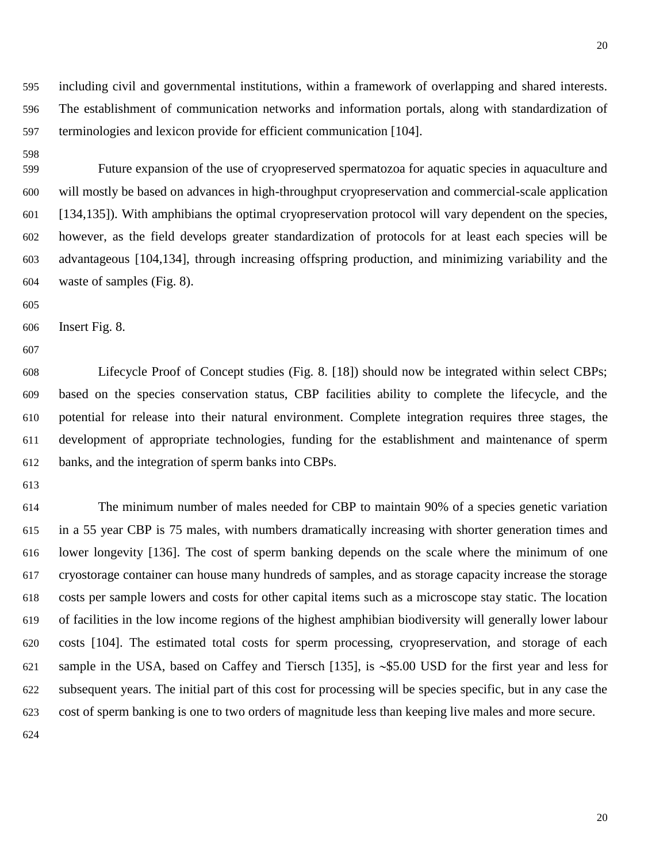including civil and governmental institutions, within a framework of overlapping and shared interests. The establishment of communication networks and information portals, along with standardization of terminologies and lexicon provide for efficient communication [104].

 Future expansion of the use of cryopreserved spermatozoa for aquatic species in aquaculture and will mostly be based on advances in high-throughput cryopreservation and commercial-scale application [134,135]). With amphibians the optimal cryopreservation protocol will vary dependent on the species, however, as the field develops greater standardization of protocols for at least each species will be advantageous [104,134], through increasing offspring production, and minimizing variability and the waste of samples (Fig. 8).

Insert Fig. 8.

 Lifecycle Proof of Concept studies (Fig. 8. [18]) should now be integrated within select CBPs; based on the species conservation status, CBP facilities ability to complete the lifecycle, and the potential for release into their natural environment. Complete integration requires three stages, the development of appropriate technologies, funding for the establishment and maintenance of sperm banks, and the integration of sperm banks into CBPs.

 The minimum number of males needed for CBP to maintain 90% of a species genetic variation in a 55 year CBP is 75 males, with numbers dramatically increasing with shorter generation times and lower longevity [136]. The cost of sperm banking depends on the scale where the minimum of one cryostorage container can house many hundreds of samples, and as storage capacity increase the storage costs per sample lowers and costs for other capital items such as a microscope stay static. The location of facilities in the low income regions of the highest amphibian biodiversity will generally lower labour costs [104]. The estimated total costs for sperm processing, cryopreservation, and storage of each 621 sample in the USA, based on Caffey and Tiersch [135], is  $\sim$ \$5.00 USD for the first year and less for subsequent years. The initial part of this cost for processing will be species specific, but in any case the cost of sperm banking is one to two orders of magnitude less than keeping live males and more secure.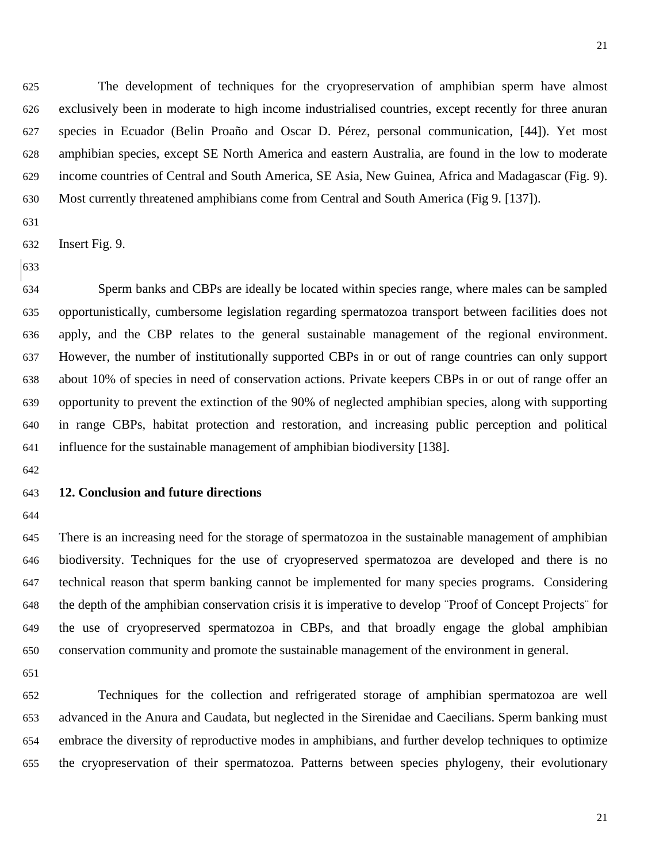The development of techniques for the cryopreservation of amphibian sperm have almost exclusively been in moderate to high income industrialised countries, except recently for three anuran species in Ecuador (Belin Proaño and Oscar D. Pérez, personal communication, [44]). Yet most amphibian species, except SE North America and eastern Australia, are found in the low to moderate income countries of Central and South America, SE Asia, New Guinea, Africa and Madagascar (Fig. 9). Most currently threatened amphibians come from Central and South America (Fig 9. [137]).

- 
- Insert Fig. 9.
- 

 Sperm banks and CBPs are ideally be located within species range, where males can be sampled opportunistically, cumbersome legislation regarding spermatozoa transport between facilities does not apply, and the CBP relates to the general sustainable management of the regional environment. However, the number of institutionally supported CBPs in or out of range countries can only support about 10% of species in need of conservation actions. Private keepers CBPs in or out of range offer an opportunity to prevent the extinction of the 90% of neglected amphibian species, along with supporting in range CBPs, habitat protection and restoration, and increasing public perception and political influence for the sustainable management of amphibian biodiversity [138].

#### **12. Conclusion and future directions**

 There is an increasing need for the storage of spermatozoa in the sustainable management of amphibian biodiversity. Techniques for the use of cryopreserved spermatozoa are developed and there is no technical reason that sperm banking cannot be implemented for many species programs. Considering the depth of the amphibian conservation crisis it is imperative to develop ¨Proof of Concept Projects¨ for the use of cryopreserved spermatozoa in CBPs, and that broadly engage the global amphibian conservation community and promote the sustainable management of the environment in general.

 Techniques for the collection and refrigerated storage of amphibian spermatozoa are well advanced in the Anura and Caudata, but neglected in the Sirenidae and Caecilians. Sperm banking must embrace the diversity of reproductive modes in amphibians, and further develop techniques to optimize the cryopreservation of their spermatozoa. Patterns between species phylogeny, their evolutionary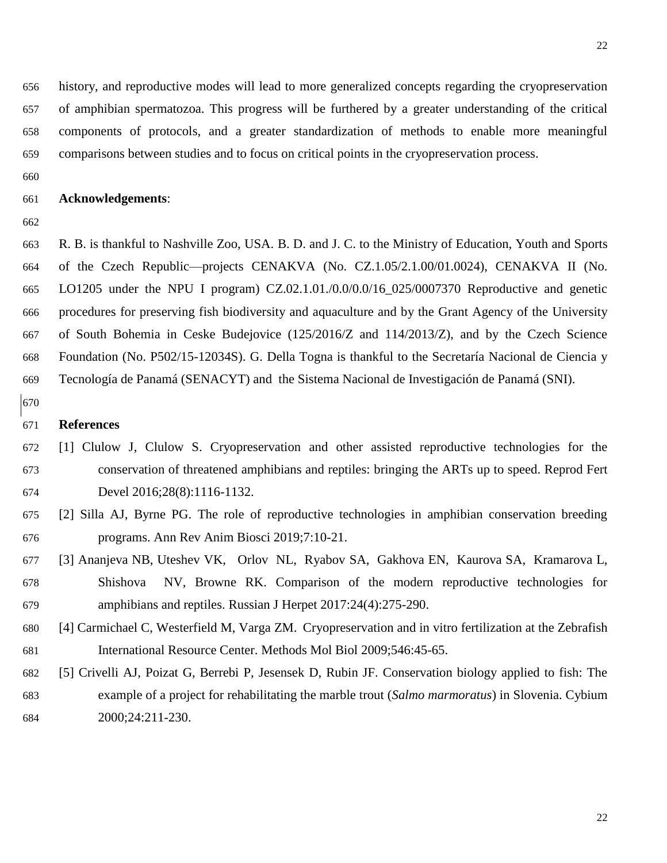history, and reproductive modes will lead to more generalized concepts regarding the cryopreservation of amphibian spermatozoa. This progress will be furthered by a greater understanding of the critical components of protocols, and a greater standardization of methods to enable more meaningful comparisons between studies and to focus on critical points in the cryopreservation process.

#### **Acknowledgements**:

 R. B. is thankful to Nashville Zoo, USA. B. D. and J. C. to the Ministry of Education, Youth and Sports of the Czech Republic—projects CENAKVA (No. CZ.1.05/2.1.00/01.0024), CENAKVA II (No. LO1205 under the NPU I program) CZ.02.1.01./0.0/0.0/16\_025/0007370 Reproductive and genetic procedures for preserving fish biodiversity and aquaculture and by the Grant Agency of the University of South Bohemia in Ceske Budejovice (125/2016/Z and 114/2013/Z), and by the Czech Science Foundation (No. P502/15-12034S). G. Della Togna is thankful to the Secretaría Nacional de Ciencia y Tecnología de Panamá (SENACYT) and the Sistema Nacional de Investigación de Panamá (SNI).

#### **References**

- [1] Clulow J, Clulow S. Cryopreservation and other assisted reproductive technologies for the conservation of threatened amphibians and reptiles: bringing the ARTs up to speed. Reprod Fert Devel 2016;28(8):1116-1132.
- [2] Silla AJ, Byrne PG. The role of reproductive technologies in amphibian conservation breeding programs. Ann Rev Anim Biosci 2019;7:10-21.
- [3] Ananjeva NB, Uteshev VK, Orlov NL, Ryabov SA, Gakhova EN, Kaurova SA, Kramarova L, Shishova NV, Browne RK. Comparison of the modern reproductive technologies for amphibians and reptiles. Russian J Herpet 2017:24(4):275-290.
- [4] Carmichael C, Westerfield M, Varga ZM. Cryopreservation and in vitro fertilization at the Zebrafish International Resource Center. [Methods Mol Biol 2009;546:45-65.](https://www.ncbi.nlm.nih.gov/entrez/eutils/elink.fcgi?dbfrom=pubmed&retmode=ref&cmd=prlinks&id=19378097)
- [5] Crivelli AJ, Poizat G, Berrebi P, Jesensek D, Rubin JF. Conservation biology applied to fish: The example of a project for rehabilitating the marble trout (*Salmo marmoratus*) in Slovenia. Cybium 2000;24:211-230.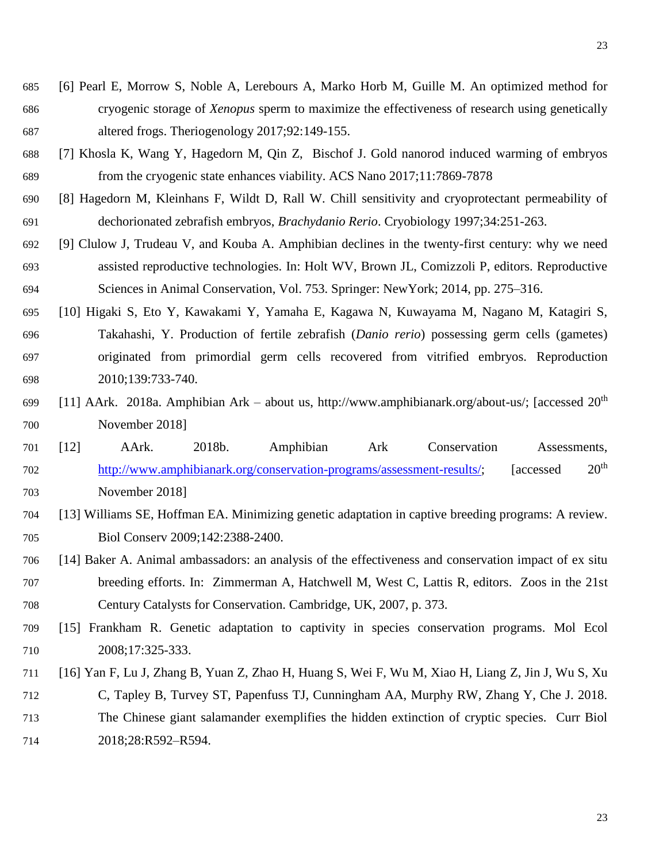- [6] Pearl E, Morrow S, Noble A, Lerebours A, Marko Horb M, Guille M. An optimized method for cryogenic storage of *Xenopus* sperm to maximize the effectiveness of research using genetically altered frogs. Theriogenology 2017;92:149-155.
- [7] Khosla K, Wang Y, Hagedorn M, Qin Z, Bischof J. Gold nanorod induced warming of embryos from the cryogenic state enhances viability. ACS Nano 2017;11:7869-7878
- [8] Hagedorn M, Kleinhans F, Wildt D, Rall W. Chill sensitivity and cryoprotectant permeability of dechorionated zebrafish embryos, *Brachydanio Rerio*. Cryobiology 1997;34:251-263.
- [9] Clulow J, Trudeau V, and Kouba A. Amphibian declines in the twenty-first century: why we need assisted reproductive technologies. In: Holt WV, Brown JL, Comizzoli P, editors. Reproductive Sciences in Animal Conservation, Vol. 753. Springer: NewYork; 2014, pp. 275–316.
- [10] Higaki S, Eto Y, Kawakami Y, Yamaha E, Kagawa N, Kuwayama M, Nagano M, Katagiri S, Takahashi, Y. Production of fertile zebrafish (*Danio rerio*) possessing germ cells (gametes) originated from primordial germ cells recovered from vitrified embryos. Reproduction 2010;139:733-740.
- $[11]$  AArk. 2018a. Amphibian Ark about us, http://www.amphibianark.org/about-us/; [accessed 20<sup>th</sup> November 2018]
- [12] AArk. 2018b. Amphibian Ark Conservation Assessments, [http://www.amphibianark.org/conservation-programs/assessment-results/;](http://www.amphibianark.org/conservation-programs/assessment-results/) [accessed 20th November 2018]
- [13] Williams SE, Hoffman EA. Minimizing genetic adaptation in captive breeding programs: A review. Biol Conserv 2009;142:2388-2400.
- [14] Baker A. Animal ambassadors: an analysis of the effectiveness and conservation impact of ex situ breeding efforts. In: Zimmerman A, Hatchwell M, West C, Lattis R, editors. Zoos in the 21st Century Catalysts for Conservation. Cambridge, UK, 2007, p. 373.
- [15] Frankham R. Genetic adaptation to captivity in species conservation programs. Mol Ecol 2008;17:325-333.
- [16] Yan F, Lu J, Zhang B, Yuan Z, Zhao H, Huang S, Wei F, Wu M, Xiao H, Liang Z, Jin J, Wu S, Xu C, Tapley B, Turvey ST, Papenfuss TJ, Cunningham AA, Murphy RW, Zhang Y, Che J. 2018. The Chinese giant salamander exemplifies the hidden extinction of cryptic species. Curr Biol 2018;28:R592–R594.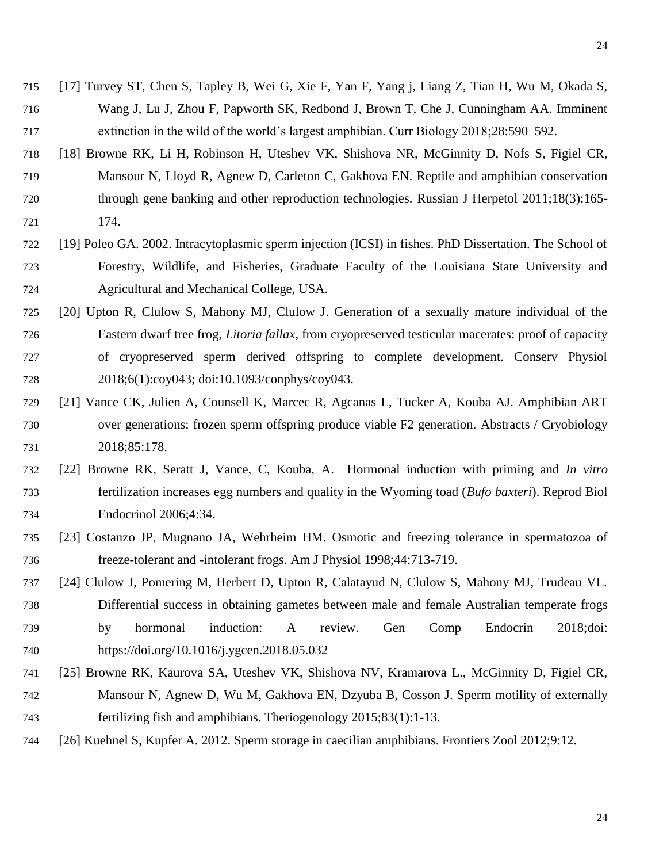- [17] Turvey ST, Chen S, Tapley B, Wei G, Xie F, Yan F, Yang j, Liang Z, Tian H, Wu M, Okada S, Wang J, Lu J, Zhou F, Papworth SK, Redbond J, Brown T, Che J, Cunningham AA. Imminent extinction in the wild of the world's largest amphibian. Curr Biology 2018;28:590–592.
- [18] Browne RK, Li H, Robinson H, Uteshev VK, Shishova NR, McGinnity D, Nofs S, Figiel CR, Mansour N, Lloyd R, Agnew D, Carleton C, Gakhova EN. Reptile and amphibian conservation through gene banking and other reproduction technologies. Russian J Herpetol 2011;18(3):165- 174.
- [19] Poleo GA. 2002. Intracytoplasmic sperm injection (ICSI) in fishes. PhD Dissertation. The School of Forestry, Wildlife, and Fisheries, Graduate Faculty of the Louisiana State University and Agricultural and Mechanical College, USA.
- [20] Upton R, Clulow S, Mahony MJ, Clulow J. Generation of a sexually mature individual of the Eastern dwarf tree frog, *Litoria fallax*, from cryopreserved testicular macerates: proof of capacity of cryopreserved sperm derived offspring to complete development. Conserv Physiol 2018;6(1):coy043; doi:10.1093/conphys/coy043.
- [21] Vance CK, Julien A, Counsell K, Marcec R, Agcanas L, Tucker A, Kouba AJ. Amphibian ART over generations: frozen sperm offspring produce viable F2 generation. Abstracts / Cryobiology 2018;85:178.
- [22] Browne RK, Seratt J, Vance, C, Kouba, A. Hormonal induction with priming and *In vitro* fertilization increases egg numbers and quality in the Wyoming toad (*Bufo baxteri*). Reprod Biol Endocrinol 2006;4:34.
- [23] Costanzo JP, Mugnano JA, Wehrheim HM. Osmotic and freezing tolerance in spermatozoa of freeze-tolerant and -intolerant frogs. Am J Physiol 1998;44:713-719.
- [24] Clulow J, Pomering M, Herbert D, Upton R, Calatayud N, Clulow S, Mahony MJ, Trudeau VL. Differential success in obtaining gametes between male and female Australian temperate frogs by hormonal induction: A review. Gen Comp Endocrin 2018;doi: https://doi.org/10.1016/j.ygcen.2018.05.032
- [25] Browne RK, Kaurova SA, Uteshev VK, Shishova NV, Kramarova L., McGinnity D, Figiel CR, Mansour N, Agnew D, Wu M, Gakhova EN, Dzyuba B, Cosson J. Sperm motility of externally fertilizing fish and amphibians. Theriogenology 2015;83(1):1-13.
- [26] Kuehnel S, Kupfer A. 2012. Sperm storage in caecilian amphibians. Frontiers Zool 2012;9:12.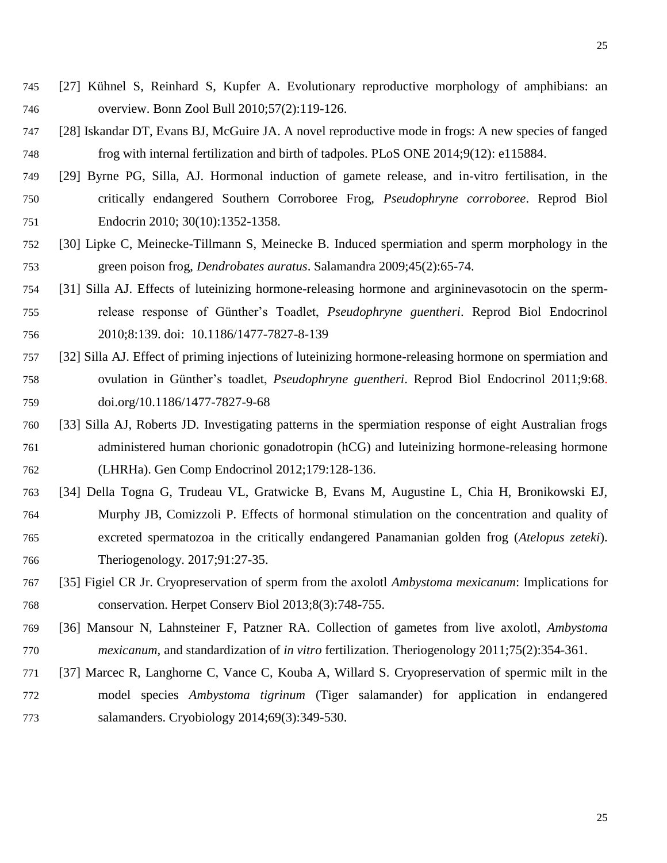- [27] Kühnel S, Reinhard S, Kupfer A. Evolutionary reproductive morphology of amphibians: an overview. Bonn Zool Bull 2010;57(2):119-126.
- [28] Iskandar DT, Evans BJ, McGuire JA. A novel reproductive mode in frogs: A new species of fanged frog with internal fertilization and birth of tadpoles. PLoS ONE 2014;9(12): e115884.
- [29] Byrne PG, Silla, AJ. Hormonal induction of gamete release, and in-vitro fertilisation, in the critically endangered Southern Corroboree Frog, *Pseudophryne corroboree*. Reprod Biol Endocrin 2010; 30(10):1352-1358.
- [30] Lipke C, Meinecke-Tillmann S, Meinecke B. Induced spermiation and sperm morphology in the green poison frog, *Dendrobates auratus*. Salamandra 2009;45(2):65-74.
- [31] Silla AJ. Effects of luteinizing hormone-releasing hormone and argininevasotocin on the sperm- release response of Günther's Toadlet, *Pseudophryne guentheri*. Reprod Biol Endocrinol 2010;8:139. doi: 10.1186/1477-7827-8-139
- [32] Silla AJ. Effect of priming injections of luteinizing hormone-releasing hormone on spermiation and ovulation in Günther's toadlet, *Pseudophryne guentheri*. Reprod Biol Endocrinol 2011;9:68. doi.org/10.1186/1477-7827-9-68
- [33] Silla AJ, Roberts JD. Investigating patterns in the spermiation response of eight Australian frogs administered human chorionic gonadotropin (hCG) and luteinizing hormone-releasing hormone (LHRHa). Gen Comp Endocrinol 2012;179:128-136.
- [34] Della Togna G, Trudeau VL, Gratwicke B, Evans M, Augustine L, Chia H, Bronikowski EJ, Murphy JB, Comizzoli P. Effects of hormonal stimulation on the concentration and quality of excreted spermatozoa in the critically endangered Panamanian golden frog (*Atelopus zeteki*). Theriogenology. 2017;91:27-35.
- [35] Figiel CR Jr. Cryopreservation of sperm from the axolotl *Ambystoma mexicanum*: Implications for conservation. Herpet Conserv Biol 2013;8(3):748-755.
- [36] Mansour N, Lahnsteiner F, Patzner RA. Collection of gametes from live axolotl, *Ambystoma mexicanum,* and standardization of *in vitro* fertilization. Theriogenology 2011;75(2):354-361.
- [37] Marcec R, Langhorne C, Vance C, Kouba A, Willard S. Cryopreservation of spermic milt in the model species *Ambystoma tigrinum* (Tiger salamander) for application in endangered salamanders. Cryobiology 2014;69(3):349-530.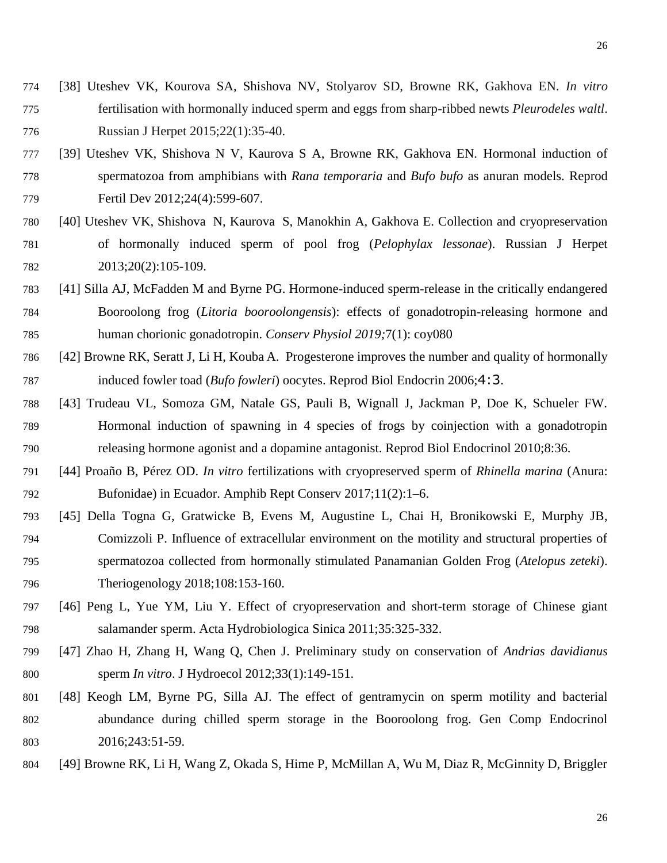- [38] Uteshev VK, Kourova SA, Shishova NV, Stolyarov SD, Browne RK, Gakhova EN. *In vitro*  fertilisation with hormonally induced sperm and eggs from sharp-ribbed newts *Pleurodeles waltl*. Russian J Herpet 2015;22(1):35-40.
- [39] Uteshev VK, Shishova N V, Kaurova S A, Browne RK, Gakhova EN. Hormonal induction of spermatozoa from amphibians with *Rana temporaria* and *Bufo bufo* as anuran models. Reprod Fertil Dev 2012;24(4):599-607.
- [40] Uteshev VK, Shishova N, Kaurova S, Manokhin A, Gakhova E. Collection and cryopreservation of hormonally induced sperm of pool frog (*Pelophylax lessonae*). Russian J Herpet 2013;20(2):105-109.
- [41] Silla AJ, McFadden M and Byrne PG. Hormone-induced sperm-release in the critically endangered Booroolong frog (*Litoria booroolongensis*): effects of gonadotropin-releasing hormone and human chorionic gonadotropin. *Conserv Physiol 2019;*7(1): coy080
- [42] Browne RK, Seratt J, Li H, Kouba A. Progesterone improves the number and quality of hormonally induced fowler toad (*Bufo fowleri*) oocytes. Reprod Biol Endocrin 2006;4:3.
- [43] Trudeau VL, Somoza GM, Natale GS, Pauli B, Wignall J, Jackman P, Doe K, Schueler FW. Hormonal induction of spawning in 4 species of frogs by coinjection with a gonadotropin releasing hormone agonist and a dopamine antagonist. Reprod Biol Endocrinol 2010;8:36.
- [44] Proaño B, Pérez OD. *In vitro* fertilizations with cryopreserved sperm of *Rhinella marina* (Anura: Bufonidae) in Ecuador. Amphib Rept Conserv 2017;11(2):1–6.
- [45] Della Togna G, Gratwicke B, Evens M, Augustine L, Chai H, Bronikowski E, Murphy JB, Comizzoli P. Influence of extracellular environment on the motility and structural properties of spermatozoa collected from hormonally stimulated Panamanian Golden Frog (*Atelopus zeteki*). Theriogenology 2018;108:153-160.
- [46] Peng L, Yue YM, Liu Y. Effect of cryopreservation and short-term storage of Chinese giant salamander sperm. Acta Hydrobiologica Sinica 2011;35:325-332.
- [47] Zhao H, Zhang H, Wang Q, Chen J. Preliminary study on conservation of *Andrias davidianus* sperm *In vitro*. J Hydroecol 2012;33(1):149-151.
- [48] Keogh LM, Byrne PG, Silla AJ. The effect of gentramycin on sperm motility and bacterial abundance during chilled sperm storage in the Booroolong frog. Gen Comp Endocrinol 2016;243:51-59.
- [49] Browne RK, Li H, Wang Z, Okada S, Hime P, McMillan A, Wu M, Diaz R, McGinnity D, Briggler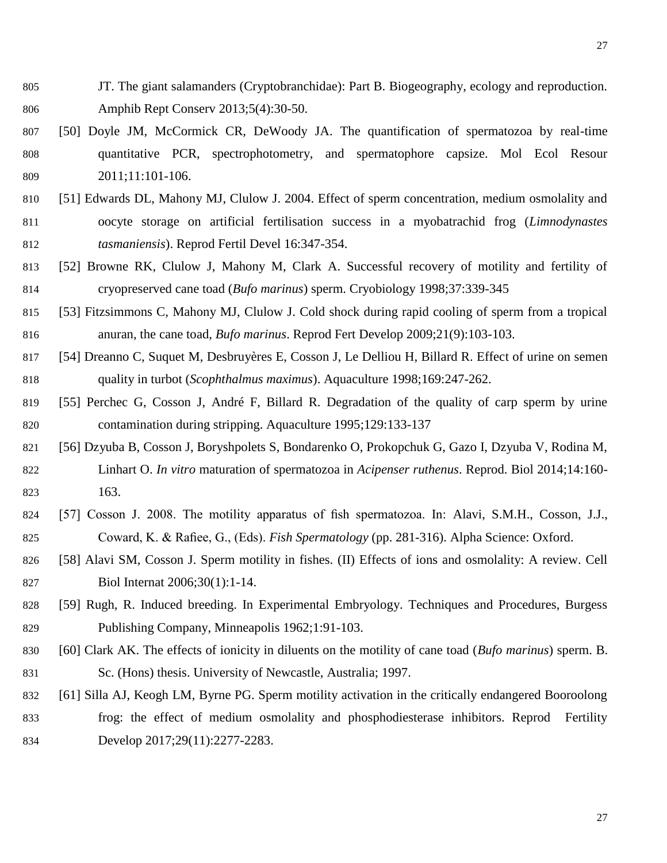- JT. The giant salamanders (Cryptobranchidae): Part B. Biogeography, ecology and reproduction. Amphib Rept Conserv 2013;5(4):30-50.
- [50] Doyle JM, McCormick CR, DeWoody JA. The quantification of spermatozoa by real-time quantitative PCR, spectrophotometry, and spermatophore capsize. Mol Ecol Resour 2011;11:101-106.
- [51] Edwards DL, Mahony MJ, Clulow J. 2004. Effect of sperm concentration, medium osmolality and oocyte storage on artificial fertilisation success in a myobatrachid frog (*Limnodynastes tasmaniensis*). Reprod Fertil Devel 16:347-354.
- [52] [Browne RK, Clulow J, Mahony M, Clark A. Successful recovery of motility and fertility of](http://dx.doi.org/doi:10.1006/cryo.1998.2129)  [cryopreserved cane toad \(](http://dx.doi.org/doi:10.1006/cryo.1998.2129)*Bufo marinus*) sperm. Cryobiology 1998;37:339-345
- [53] Fitzsimmons C, Mahony MJ, Clulow J. Cold shock during rapid cooling of sperm from a tropical anuran, the cane toad, *Bufo marinus*. Reprod Fert Develop 2009;21(9):103-103.
- [54] Dreanno C, Suquet M, Desbruyères E, Cosson J, Le Delliou H, Billard R. Effect of urine on semen quality in turbot (*Scophthalmus maximus*). Aquaculture 1998;169:247-262.
- [55] Perchec G, Cosson J, André F, Billard R. Degradation of the quality of carp sperm by urine contamination during stripping. Aquaculture 1995;129:133-137
- [56] Dzyuba B, Cosson J, Boryshpolets S, Bondarenko O, Prokopchuk G, Gazo I, Dzyuba V, Rodina M, Linhart O. *In vitro* maturation of spermatozoa in *Acipenser ruthenus*. Reprod. Biol 2014;14:160- 163.
- [57] Cosson J. 2008. The motility apparatus of fish spermatozoa. In: Alavi, S.M.H., Cosson, J.J., Coward, K. & Rafiee, G., (Eds). *Fish Spermatology* (pp. 281-316). Alpha Science: Oxford.
- [58] Alavi SM, Cosson J. Sperm motility in fishes. (II) Effects of ions and osmolality: A review. Cell Biol Internat 2006;30(1):1-14.
- [59] Rugh, R. Induced breeding. In Experimental Embryology. Techniques and Procedures, Burgess Publishing Company, Minneapolis 1962;1:91-103.
- [60] Clark AK. The effects of ionicity in diluents on the motility of cane toad (*Bufo marinus*) sperm. B. Sc. (Hons) thesis. University of Newcastle, Australia; 1997.
- [61] Silla AJ, Keogh LM, Byrne PG. Sperm motility activation in the critically endangered Booroolong frog: the effect of medium osmolality and phosphodiesterase inhibitors. Reprod Fertility Develop 2017;29(11):2277-2283.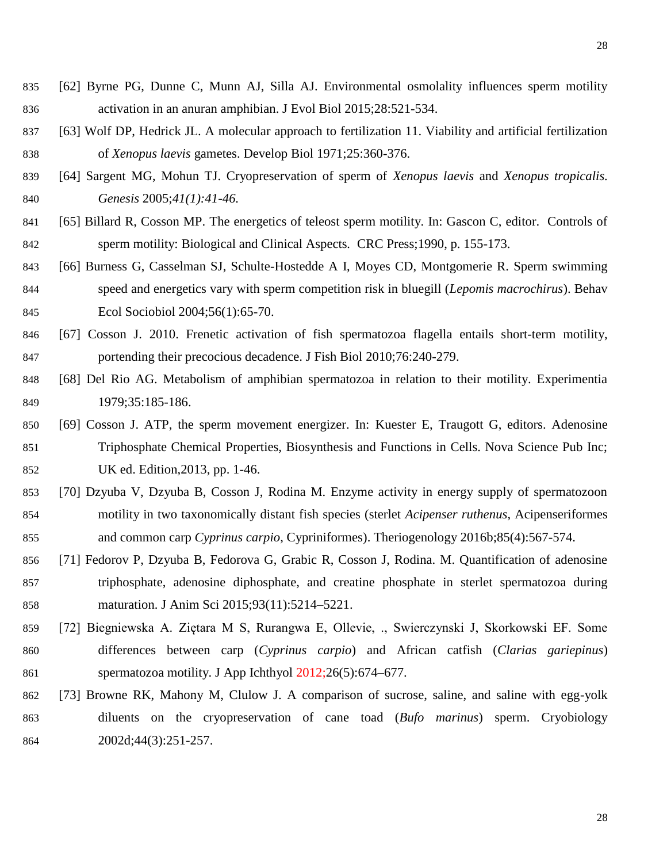- [62] Byrne PG, Dunne C, Munn AJ, Silla AJ. Environmental osmolality influences sperm motility activation in an anuran amphibian. J Evol Biol 2015;28:521-534.
- [63] Wolf DP, Hedrick JL. A molecular approach to fertilization 11. Viability and artificial fertilization of *Xenopus laevis* gametes. Develop Biol 1971;25:360-376.
- [64] Sargent MG, Mohun TJ. Cryopreservation of sperm of *Xenopus laevis* and *Xenopus tropicalis. Genesis* 2005;*41(1):41-46.*
- 841 [65] Billard R, Cosson MP. The energetics of teleost sperm motility. In: Gascon C, editor. Controls of sperm motility: Biological and Clinical Aspects*.* CRC Press;1990, p. 155-173.
- [66] Burness G, Casselman SJ, Schulte-Hostedde A I, Moyes CD, Montgomerie R. Sperm swimming speed and energetics vary with sperm competition risk in bluegill (*Lepomis macrochirus*). Behav Ecol Sociobiol 2004;56(1):65-70.
- [67] Cosson J. 2010. Frenetic activation of fish spermatozoa flagella entails short-term motility, portending their precocious decadence. J Fish Biol 2010;76:240-279.
- [68] Del Rio AG. Metabolism of amphibian spermatozoa in relation to their motility. Experimentia 1979;35:185-186.
- [69] Cosson J. ATP, the sperm movement energizer. In: Kuester E, Traugott G, editors. Adenosine Triphosphate Chemical Properties, Biosynthesis and Functions in Cells. Nova Science Pub Inc; UK ed. Edition,2013, pp. 1-46.
- [70] Dzyuba V, Dzyuba B, Cosson J, Rodina M. Enzyme activity in energy supply of spermatozoon motility in two taxonomically distant fish species (sterlet *Acipenser ruthenus*, Acipenseriformes and common carp *Cyprinus carpio*, Cypriniformes). Theriogenology 2016b;85(4):567-574.
- [71] Fedorov P, Dzyuba B, Fedorova G, Grabic R, Cosson J, Rodina. M. Quantification of adenosine triphosphate, adenosine diphosphate, and creatine phosphate in sterlet spermatozoa during maturation. J Anim Sci 2015;93(11):5214–5221.
- [72] Biegniewska A. Ziętara M S, Rurangwa E, Ollevie, ., Swierczynski J, Skorkowski EF. Some differences between carp (*Cyprinus carpio*) and African catfish (*Clarias gariepinus*) spermatozoa motility. J App Ichthyol 2012;26(5):674–677.
- [73] Browne RK, Mahony M, Clulow J. A comparison of sucrose, saline, and saline with egg-yolk diluents on the cryopreservation of cane toad (*Bufo marinus*) sperm. Cryobiology 2002d;44(3):251-257.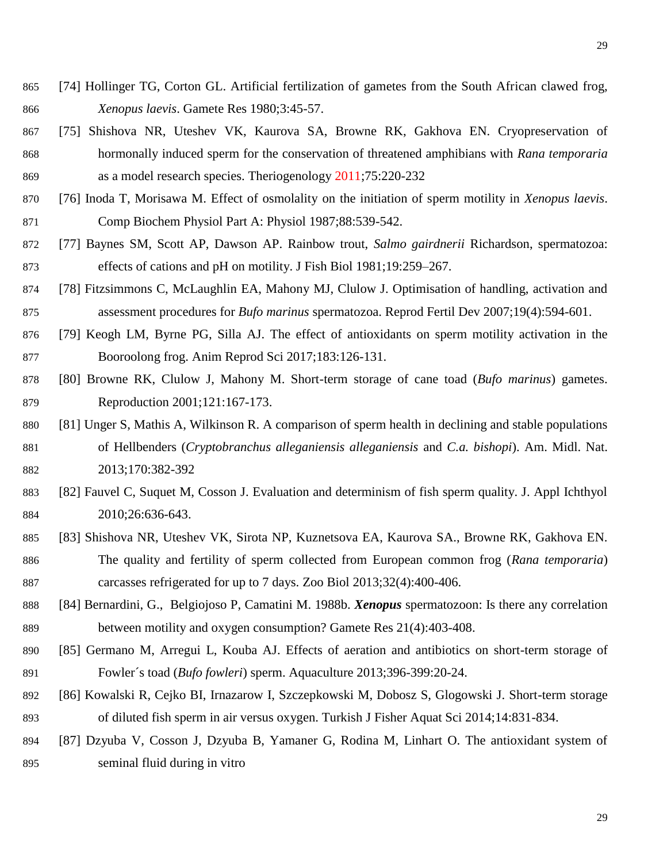- [74] Hollinger TG, Corton GL. Artificial fertilization of gametes from the South African clawed frog, *Xenopus laevis*. Gamete Res 1980;3:45-57.
- [75] [Shishova NR, Uteshev VK, Kaurova SA, Browne RK, Gakhova EN. Cryopreservation of](https://www.conservationevidence.com/individual-study/5088)  [hormonally induced sperm for the conservation of threatened amphibians with](https://www.conservationevidence.com/individual-study/5088) *Rana temporaria* [as a model research species. Theriogenology 2011;75:220-232](https://www.conservationevidence.com/individual-study/5088)
- [76] Inoda T, Morisawa M. Effect of osmolality on the initiation of sperm motility in *Xenopus laevis*. Comp Biochem Physiol Part A: Physiol 1987;88:539-542.
- [77] Baynes SM, Scott AP, Dawson AP. Rainbow trout, *Salmo gairdnerii* Richardson, spermatozoa: effects of cations and pH on motility. J Fish Biol 1981;19:259–267.
- [78] Fitzsimmons C, McLaughlin EA, Mahony MJ, Clulow J. Optimisation of handling, activation and assessment procedures for *Bufo marinus* spermatozoa. Reprod Fertil Dev 2007;19(4):594-601.
- [79] Keogh LM, Byrne PG, Silla AJ. The effect of antioxidants on sperm motility activation in the Booroolong frog. Anim Reprod Sci 2017;183:126-131.
- [80] [Browne RK, Clulow J, Mahony M. Short-term storage of cane toad \(](https://www.conservationevidence.com/individual-study/4834)*Bufo marinus*) gametes. [Reproduction 2001;121:167-173.](https://www.conservationevidence.com/individual-study/4834)
- [81] Unger S, Mathis A, Wilkinson R. A comparison of sperm health in declining and stable populations of Hellbenders (*Cryptobranchus alleganiensis alleganiensis* and *C.a. bishopi*). Am. Midl. Nat. 2013;170:382-392
- [82] Fauvel C, Suquet M, Cosson J. Evaluation and determinism of fish sperm quality. J. Appl Ichthyol 2010;26:636-643.
- [83] Shishova NR, Uteshev VK, Sirota NP, Kuznetsova EA, Kaurova SA., Browne RK, Gakhova EN. The quality and fertility of sperm collected from European common frog (*Rana temporaria*) carcasses refrigerated for up to 7 days. Zoo Biol 2013;32(4):400-406.
- [84] Bernardini, G., Belgiojoso P, Camatini M. 1988b. *Xenopus* spermatozoon: Is there any correlation between motility and oxygen consumption? Gamete Res 21(4):403-408.
- [85] Germano M, Arregui L, Kouba AJ. Effects of aeration and antibiotics on short-term storage of Fowler´s toad (*Bufo fowleri*) sperm. Aquaculture 2013;396-399:20-24.
- [86] Kowalski R, Cejko BI, Irnazarow I, Szczepkowski M, Dobosz S, Glogowski J. Short-term storage of diluted fish sperm in air versus oxygen. Turkish J Fisher Aquat Sci 2014;14:831-834.
- [87] Dzyuba V, Cosson J, Dzyuba B, Yamaner G, Rodina M, Linhart O. The antioxidant system of seminal fluid during in vitro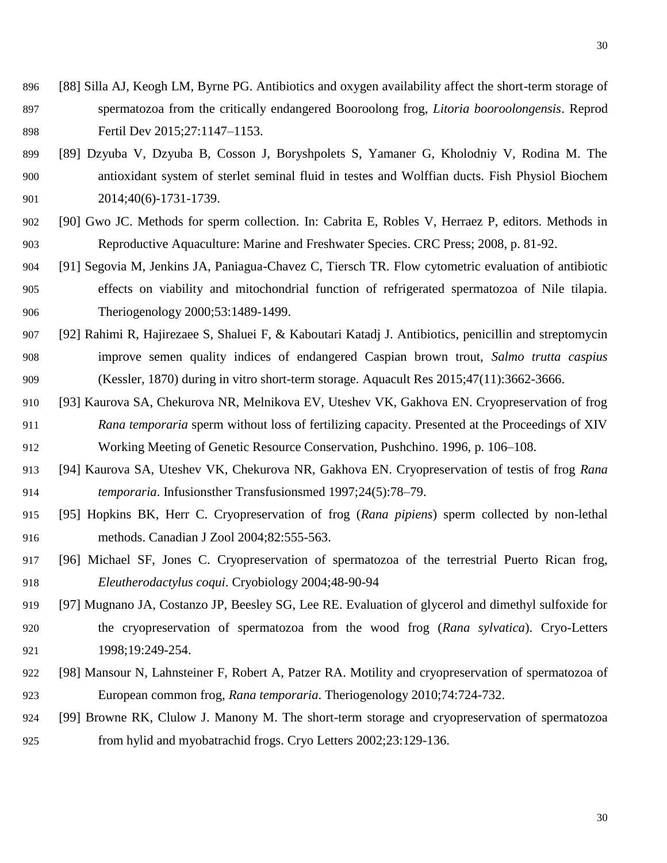- [88] Silla AJ, Keogh LM, Byrne PG. Antibiotics and oxygen availability affect the short-term storage of spermatozoa from the critically endangered Booroolong frog, *Litoria booroolongensis*. Reprod Fertil Dev 2015;27:1147–1153.
- [89] Dzyuba V, Dzyuba B, Cosson J, Boryshpolets S, Yamaner G, Kholodniy V, Rodina M. The antioxidant system of sterlet seminal fluid in testes and Wolffian ducts. Fish Physiol Biochem 2014;40(6)-1731-1739.
- [90] Gwo JC. Methods for sperm collection. In: Cabrita E, Robles V, Herraez P, editors. Methods in Reproductive Aquaculture: Marine and Freshwater Species. CRC Press; 2008, p. 81-92.
- [91] Segovia M, Jenkins JA, Paniagua-Chavez C, Tiersch TR. Flow cytometric evaluation of antibiotic effects on viability and mitochondrial function of refrigerated spermatozoa of Nile tilapia. Theriogenology 2000;53:1489-1499.
- [92] Rahimi R, Hajirezaee S, Shaluei F, & Kaboutari Katadj J. Antibiotics, penicillin and streptomycin improve semen quality indices of endangered Caspian brown trout, *Salmo trutta caspius* (Kessler, 1870) during in vitro short-term storage. Aquacult Res 2015;47(11):3662-3666.
- [93] Kaurova SA, Chekurova NR, Melnikova EV, Uteshev VK, Gakhova EN. Cryopreservation of frog *Rana temporaria* sperm without loss of fertilizing capacity. Presented at the Proceedings of XIV Working Meeting of Genetic Resource Conservation, Pushchino. 1996, p. 106–108.
- [94] Kaurova SA, Uteshev VK, Chekurova NR, Gakhova EN. Cryopreservation of testis of frog *Rana temporaria*. Infusionsther Transfusionsmed 1997;24(5):78–79.
- [95] Hopkins BK, Herr C. Cryopreservation of frog (*Rana pipiens*) sperm collected by non-lethal methods. Canadian J Zool 2004;82:555-563.
- [96] [Michael SF, Jones C. Cryopreservation of spermatozoa of the terrestrial Puerto Rican frog,](http://dx.doi.org/doi:10.1016/j.cryobiol.2003.11.001)  *Eleutherodactylus coqui*[. Cryobiology 2004;48-90-94](http://dx.doi.org/doi:10.1016/j.cryobiol.2003.11.001)
- [97] [Mugnano JA, Costanzo JP, Beesley SG, Lee RE. Evaluation of glycerol and dimethyl sulfoxide for](https://www.conservationevidence.com/individual-study/5008)  [the cryopreservation of spermatozoa from the wood frog \(](https://www.conservationevidence.com/individual-study/5008)*Rana sylvatica*). Cryo-Letters [1998;19:249-254.](https://www.conservationevidence.com/individual-study/5008)
- [98] Mansour N, Lahnsteiner F, Robert A, Patzer RA. Motility and cryopreservation of spermatozoa of European common frog, *Rana temporaria*. Theriogenology 2010;74:724-732.
- [99] [Browne RK, Clulow J. Manony M. The short-term storage and cryopreservation of spermatozoa](https://www.conservationevidence.com/individual-study/4836)  [from hylid and myobatrachid frogs. Cryo Letters 2002;23:129-136.](https://www.conservationevidence.com/individual-study/4836)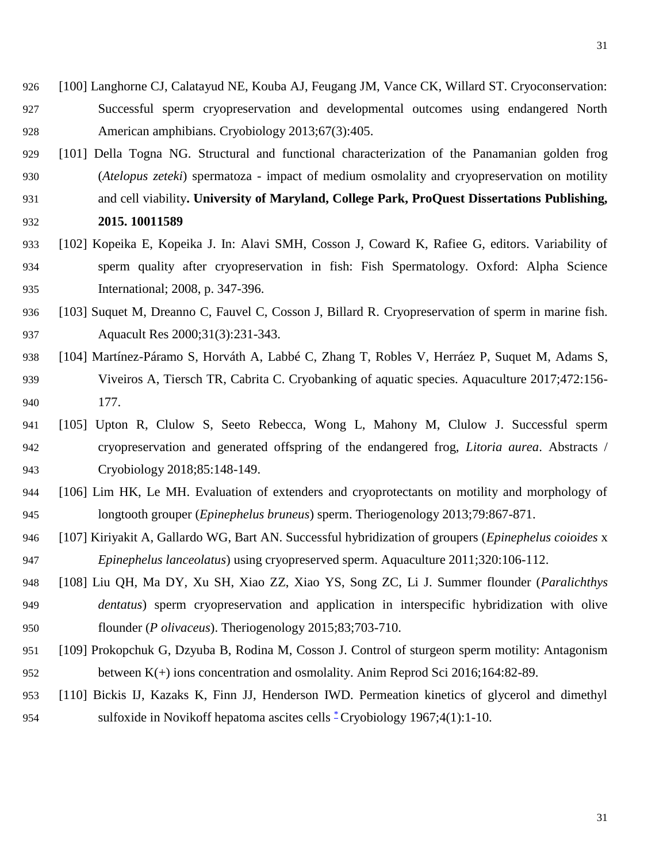- [100] Langhorne CJ, Calatayud NE, Kouba AJ, Feugang JM, Vance CK, Willard ST. Cryoconservation: Successful sperm cryopreservation and developmental outcomes using endangered North American amphibians. Cryobiology 2013;67(3):405.
- [101] Della Togna NG. Structural and functional characterization of the Panamanian golden frog (*Atelopus zeteki*) spermatoza - impact of medium osmolality and cryopreservation on motility and cell viability**. University of Maryland, College Park, ProQuest Dissertations Publishing, 2015. 10011589**
- [102] Kopeika E, Kopeika J. In: Alavi SMH, Cosson J, Coward K, Rafiee G, editors. Variability of sperm quality after cryopreservation in fish: Fish Spermatology. Oxford: Alpha Science International; 2008, p. 347-396.
- [103] Suquet M, Dreanno C, Fauvel C, Cosson J, Billard R. Cryopreservation of sperm in marine fish. **Aquacult Res** 2000;31(3):231-343.
- [104] Martínez-Páramo S, Horváth A, Labbé C, Zhang T, Robles V, Herráez P, Suquet M, Adams S, Viveiros A, Tiersch TR, Cabrita C. Cryobanking of aquatic species. Aquaculture 2017;472:156- 177.
- [105] Upton R, Clulow S, Seeto Rebecca, Wong L, Mahony M, Clulow J. Successful sperm cryopreservation and generated offspring of the endangered frog, *Litoria aurea*. Abstracts / Cryobiology 2018;85:148-149.
- [106] Lim HK, Le MH. Evaluation of extenders and cryoprotectants on motility and morphology of longtooth grouper (*Epinephelus bruneus*) sperm. Theriogenology 2013;79:867-871.
- [107] Kiriyakit A, Gallardo WG, Bart AN. Successful hybridization of groupers (*Epinephelus coioides* x *Epinephelus lanceolatus*) using cryopreserved sperm. Aquaculture 2011;320:106-112.
- [108] Liu QH, Ma DY, Xu SH, Xiao ZZ, Xiao YS, Song ZC, Li J. Summer flounder (*Paralichthys dentatus*) sperm cryopreservation and application in interspecific hybridization with olive flounder (*P olivaceus*). Theriogenology 2015;83;703-710.
- [109] Prokopchuk G, Dzyuba B, Rodina M, Cosson J. Control of sturgeon sperm motility: Antagonism between K(+) ions concentration and osmolality. Anim Reprod Sci 2016;164:82-89.
- [110] Bickis IJ, Kazaks K, Finn JJ, Henderson IWD. Permeation kinetics of glycerol and dimethyl 954sulfoxide in Novikoff hepatoma ascites cells  $*$ Cryobiology 1967;4(1):1-10.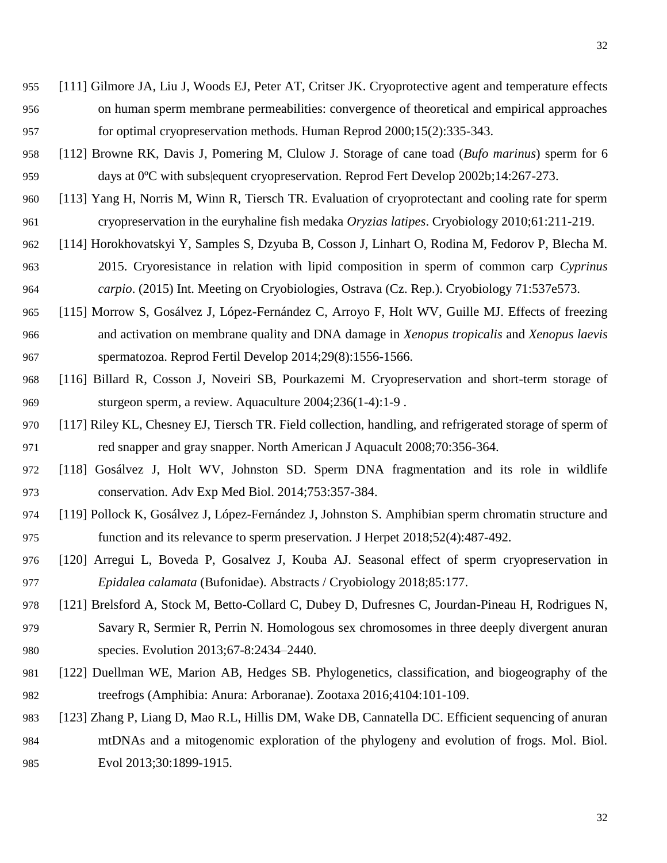- [111] Gilmore JA, Liu J, Woods EJ, Peter AT, Critser JK. Cryoprotective agent and temperature effects on human sperm membrane permeabilities: convergence of theoretical and empirical approaches for optimal cryopreservation methods. Human Reprod 2000;15(2):335-343.
- [112] Browne RK, Davis J, Pomering M, Clulow J. Storage of cane toad (*Bufo marinus*) sperm for 6 days at 0ºC with subs|equent cryopreservation. Reprod Fert Develop 2002b;14:267-273.
- [113] Yang H, Norris M, Winn R, Tiersch TR. Evaluation of cryoprotectant and cooling rate for sperm cryopreservation in the euryhaline fish medaka *Oryzias latipes*. Cryobiology 2010;61:211-219.
- [114] Horokhovatskyi Y, Samples S, Dzyuba B, Cosson J, Linhart O, Rodina M, Fedorov P, Blecha M. 2015. Cryoresistance in relation with lipid composition in sperm of common carp *Cyprinus carpio*. (2015) Int. Meeting on Cryobiologies, Ostrava (Cz. Rep.). Cryobiology 71:537e573.
- [115] Morrow S, Gosálvez J, López-Fernández C, Arroyo F, Holt WV, Guille MJ. Effects of freezing and activation on membrane quality and DNA damage in *Xenopus tropicalis* and *Xenopus laevis* spermatozoa. Reprod Fertil Develop 2014;29(8):1556-1566.
- [116] Billard R, Cosson J, Noveiri SB, Pourkazemi M. Cryopreservation and short-term storage of sturgeon sperm, a review. Aquaculture 2004;236(1-4):1-9 .
- [117] Riley KL, Chesney EJ, Tiersch TR. Field collection, handling, and refrigerated storage of sperm of red snapper and gray snapper. North American J Aquacult 2008;70:356-364.
- [118] Gosálvez J, Holt WV, Johnston SD. Sperm DNA fragmentation and its role in wildlife conservation. Adv Exp Med Biol. 2014;753:357-384.
- [119] Pollock K, Gosálvez J, López-Fernández J, Johnston S. Amphibian sperm chromatin structure and function and its relevance to sperm preservation. J Herpet 2018;52(4):487-492.
- [120] Arregui L, Boveda P, Gosalvez J, Kouba AJ. Seasonal effect of sperm cryopreservation in *Epidalea calamata* (Bufonidae). Abstracts / Cryobiology 2018;85:177.
- [121] Brelsford A, Stock M, Betto-Collard C, Dubey D, Dufresnes C, Jourdan-Pineau H, Rodrigues N, Savary R, Sermier R, Perrin N. Homologous sex chromosomes in three deeply divergent anuran species. Evolution 2013;67-8:2434–2440.
- [122] Duellman WE, Marion AB, Hedges SB. Phylogenetics, classification, and biogeography of the treefrogs (Amphibia: Anura: Arboranae). Zootaxa 2016;4104:101-109.
- [123] Zhang P, Liang D, Mao R.L, Hillis DM, Wake DB, Cannatella DC. Efficient sequencing of anuran mtDNAs and a mitogenomic exploration of the phylogeny and evolution of frogs. Mol. Biol. 985 Evol 2013;30:1899-1915.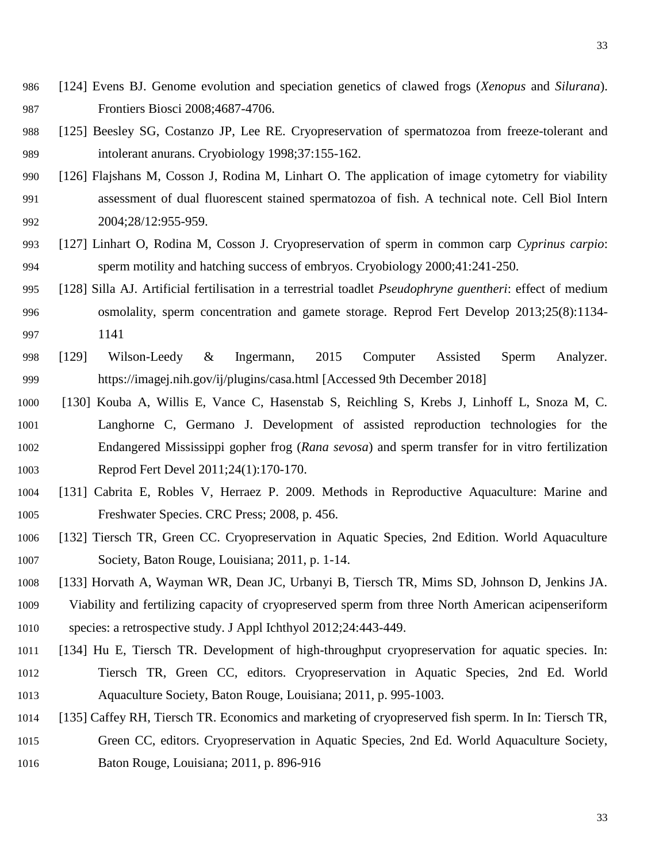- [124] Evens BJ. Genome evolution and speciation genetics of clawed frogs (*Xenopus* and *Silurana*). Frontiers Biosci 2008;4687-4706.
- [125] [Beesley SG, Costanzo JP, Lee RE. Cryopreservation of spermatozoa from freeze-tolerant and](https://www.conservationevidence.com/individual-study/4805)  [intolerant anurans. Cryobiology](https://www.conservationevidence.com/individual-study/4805) 1998;37:155-162.
- [126] Flajshans M, Cosson J, Rodina M, Linhart O. The application of image cytometry for viability assessment of dual fluorescent stained spermatozoa of fish. A technical note. Cell Biol Intern 992 2004;28/12:955-959.
- [127] Linhart O, Rodina M, Cosson J. Cryopreservation of sperm in common carp *Cyprinus carpio*: sperm motility and hatching success of embryos. Cryobiology 2000;41:241-250.
- [128] Silla AJ. Artificial fertilisation in a terrestrial toadlet *Pseudophryne guentheri*: effect of medium osmolality, sperm concentration and gamete storage. Reprod Fert Develop 2013;25(8):1134- 1141
- [129] Wilson-Leedy & Ingermann, 2015 Computer Assisted Sperm Analyzer. https://imagej.nih.gov/ij/plugins/casa.html [Accessed 9th December 2018]
- [130] Kouba A, Willis E, Vance C, Hasenstab S, Reichling S, Krebs J, Linhoff L, Snoza M, C. Langhorne C, Germano J. Development of assisted reproduction technologies for the Endangered Mississippi gopher frog (*Rana sevosa*) and sperm transfer for in vitro fertilization Reprod Fert Devel 2011;24(1):170-170.
- [131] Cabrita E, Robles V, Herraez P. 2009. Methods in Reproductive Aquaculture: Marine and Freshwater Species. CRC Press; 2008, p. 456.
- [132] Tiersch TR, Green CC. Cryopreservation in Aquatic Species, 2nd Edition. World Aquaculture Society, Baton Rouge, Louisiana; 2011, p. 1-14.
- [133] Horvath A, Wayman WR, Dean JC, Urbanyi B, Tiersch TR, Mims SD, Johnson D, Jenkins JA.
- Viability and fertilizing capacity of cryopreserved sperm from three North American acipenseriform species: a retrospective study. J Appl Ichthyol 2012;24:443-449.
- [134] Hu E, Tiersch TR. Development of high-throughput cryopreservation for aquatic species. In: Tiersch TR, Green CC, editors. Cryopreservation in Aquatic Species, 2nd Ed. World Aquaculture Society, Baton Rouge, Louisiana; 2011, p. 995-1003.
- [135] Caffey RH, Tiersch TR. Economics and marketing of cryopreserved fish sperm. In In: Tiersch TR,
- Green CC, editors. Cryopreservation in Aquatic Species, 2nd Ed. World Aquaculture Society, Baton Rouge, Louisiana; 2011, p. 896-916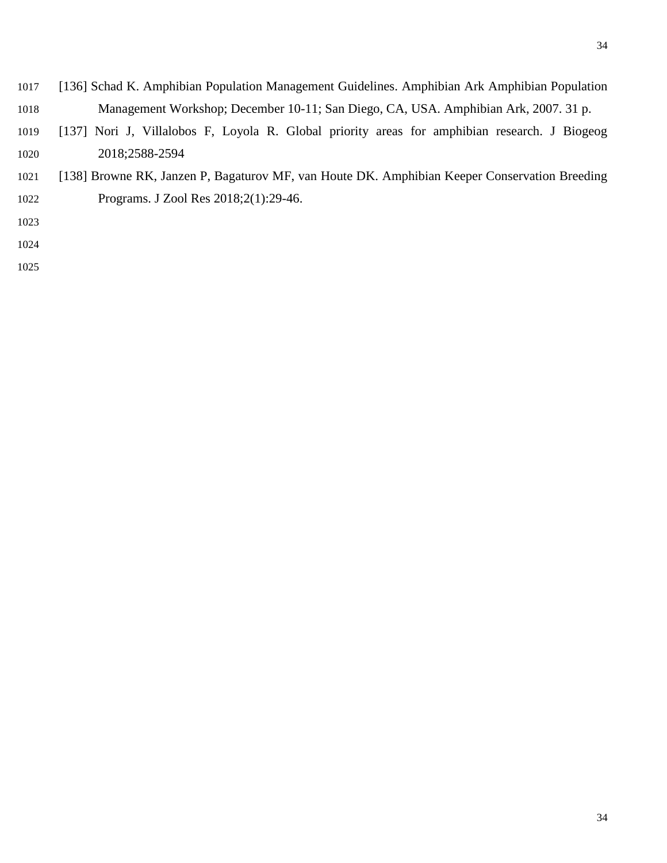- [136] Schad K. Amphibian Population Management Guidelines. Amphibian Ark Amphibian Population Management Workshop; December 10-11; San Diego, CA, USA. Amphibian Ark, 2007. 31 p.
- [137] Nori J, Villalobos F, Loyola R. Global priority areas for amphibian research. J Biogeog 2018;2588-2594
- [138] Browne RK, Janzen P, Bagaturov MF, van Houte DK. Amphibian Keeper Conservation Breeding Programs. J Zool Res 2018;2(1):29-46.
- 
- 
-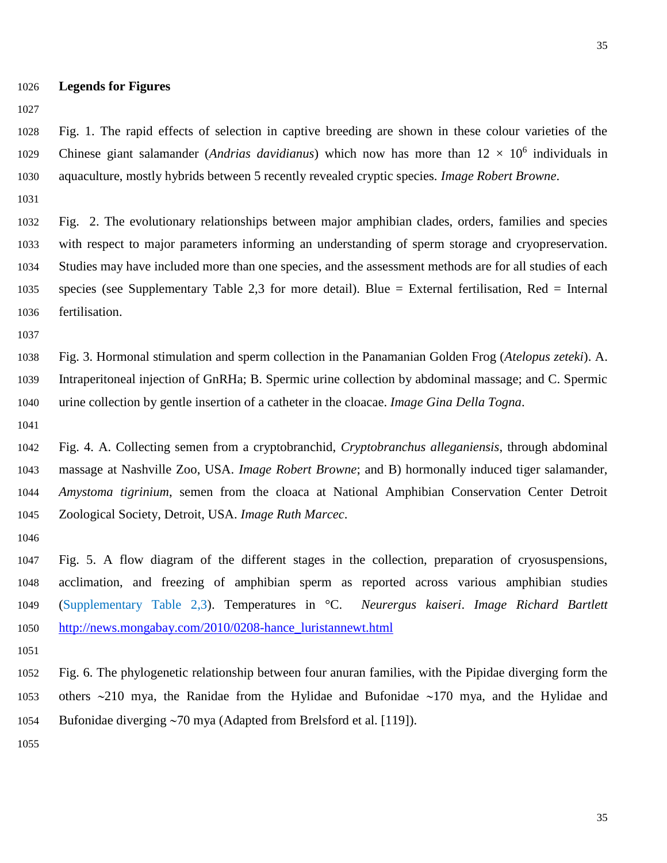**Legends for Figures**

 Fig. 1. The rapid effects of selection in captive breeding are shown in these colour varieties of the 1029 Chinese giant salamander (*Andrias davidianus*) which now has more than  $12 \times 10^6$  individuals in aquaculture, mostly hybrids between 5 recently revealed cryptic species. *Image Robert Browne*.

 Fig. 2. The evolutionary relationships between major amphibian clades, orders, families and species with respect to major parameters informing an understanding of sperm storage and cryopreservation. Studies may have included more than one species, and the assessment methods are for all studies of each species (see Supplementary Table 2,3 for more detail). Blue = External fertilisation, Red = Internal fertilisation.

 Fig. 3. Hormonal stimulation and sperm collection in the Panamanian Golden Frog (*Atelopus zeteki*). A. Intraperitoneal injection of GnRHa; B. Spermic urine collection by abdominal massage; and C. Spermic urine collection by gentle insertion of a catheter in the cloacae. *Image Gina Della Togna*.

 Fig. 4. A. Collecting semen from a cryptobranchid, *Cryptobranchus alleganiensis*, through abdominal massage at Nashville Zoo, USA. *Image Robert Browne*; and B) hormonally induced tiger salamander, *Amystoma tigrinium*, semen from the cloaca at National Amphibian Conservation Center Detroit Zoological Society, Detroit, USA. *Image Ruth Marcec*.

 Fig. 5. A flow diagram of the different stages in the collection, preparation of cryosuspensions, acclimation, and freezing of amphibian sperm as reported across various amphibian studies (Supplementary Table 2,3). Temperatures in °C. *Neurergus kaiseri*. *Image Richard Bartlett* [http://news.mongabay.com/2010/0208-hance\\_luristannewt.html](http://news.mongabay.com/2010/0208-hance_luristannewt.html) 

 Fig. 6. The phylogenetic relationship between four anuran families, with the Pipidae diverging form the 1053 others  $\sim$ 210 mya, the Ranidae from the Hylidae and Bufonidae  $\sim$ 170 mya, and the Hylidae and 1054 Bufonidae diverging ~70 mya (Adapted from Brelsford et al. [119]).